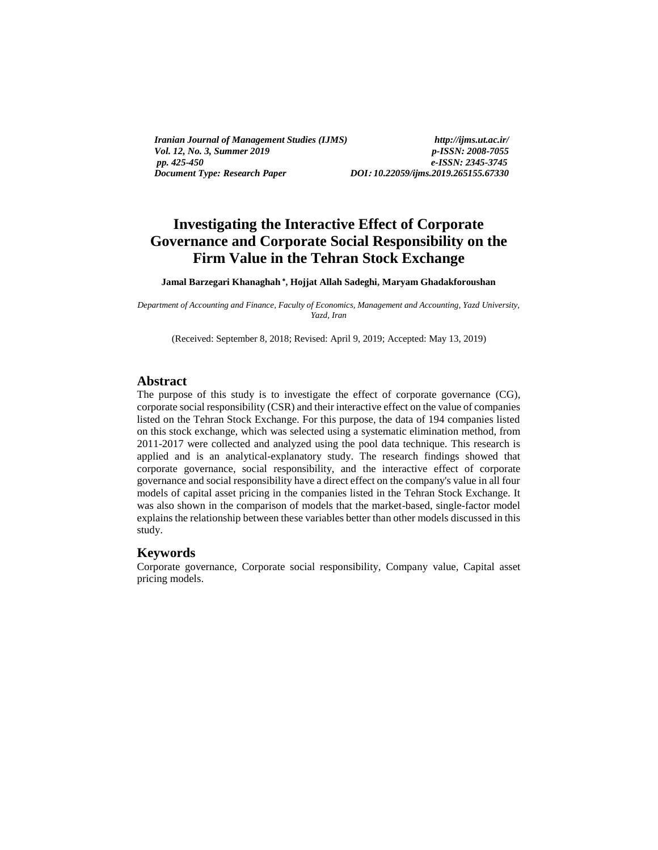*Iranian Journal of Management Studies (IJMS) http://ijms.ut.ac.ir/ Vol. 12, No. 3, Summer 2019 p-ISSN: 2008-7055 Document Type: Research Paper DOI***:** *10.22059/ijms.2019.265155.67330*

*pp. 425-450 e-ISSN: 2345-3745*

# **Investigating the Interactive Effect of Corporate Governance and Corporate Social Responsibility on the Firm Value in the Tehran Stock Exchange**

**Jamal Barzegari Khanaghah , Hojjat Allah Sadeghi, Maryam Ghadakforoushan**

*Department of Accounting and Finance, Faculty of Economics, Management and Accounting, Yazd University, Yazd, Iran*

(Received: September 8, 2018; Revised: April 9, 2019; Accepted: May 13, 2019)

#### **Abstract**

The purpose of this study is to investigate the effect of corporate governance (CG), corporate social responsibility (CSR) and their interactive effect on the value of companies listed on the Tehran Stock Exchange. For this purpose, the data of 194 companies listed on this stock exchange, which was selected using a systematic elimination method, from 2011-2017 were collected and analyzed using the pool data technique. This research is applied and is an analytical-explanatory study. The research findings showed that corporate governance, social responsibility, and the interactive effect of corporate governance and social responsibility have a direct effect on the company's value in all four models of capital asset pricing in the companies listed in the Tehran Stock Exchange. It was also shown in the comparison of models that the market-based, single-factor model explains the relationship between these variables better than other models discussed in this study.

#### **Keywords**

Corporate governance, Corporate social responsibility, Company value, Capital asset pricing models.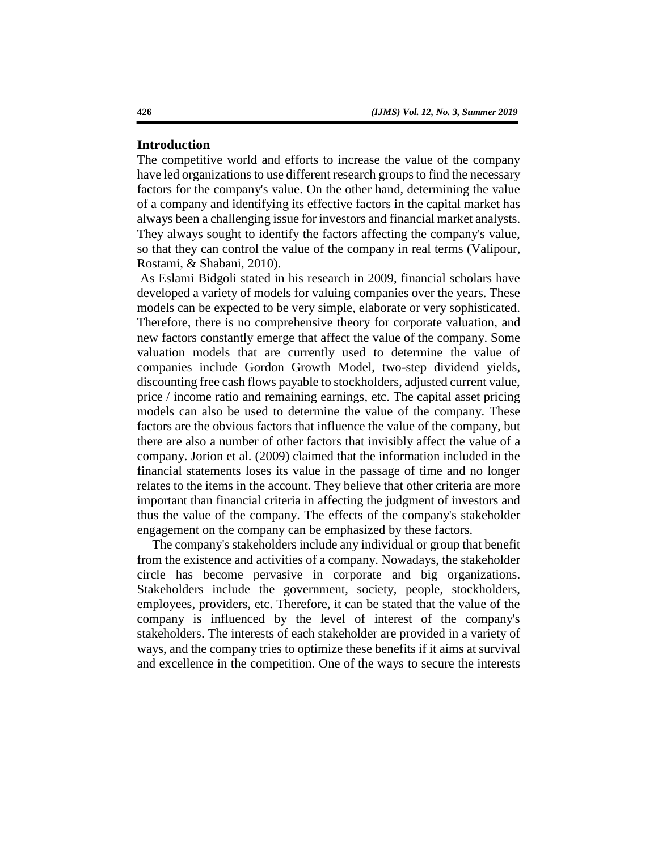# **Introduction**

The competitive world and efforts to increase the value of the company have led organizations to use different research groups to find the necessary factors for the company's value. On the other hand, determining the value of a company and identifying its effective factors in the capital market has always been a challenging issue for investors and financial market analysts. They always sought to identify the factors affecting the company's value, so that they can control the value of the company in real terms (Valipour, Rostami, & Shabani, 2010).

As Eslami Bidgoli stated in his research in 2009, financial scholars have developed a variety of models for valuing companies over the years. These models can be expected to be very simple, elaborate or very sophisticated. Therefore, there is no comprehensive theory for corporate valuation, and new factors constantly emerge that affect the value of the company. Some valuation models that are currently used to determine the value of companies include Gordon Growth Model, two-step dividend yields, discounting free cash flows payable to stockholders, adjusted current value, price / income ratio and remaining earnings, etc. The capital asset pricing models can also be used to determine the value of the company. These factors are the obvious factors that influence the value of the company, but there are also a number of other factors that invisibly affect the value of a company. Jorion et al. (2009) claimed that the information included in the financial statements loses its value in the passage of time and no longer relates to the items in the account. They believe that other criteria are more important than financial criteria in affecting the judgment of investors and thus the value of the company. The effects of the company's stakeholder engagement on the company can be emphasized by these factors.

The company's stakeholders include any individual or group that benefit from the existence and activities of a company. Nowadays, the stakeholder circle has become pervasive in corporate and big organizations. Stakeholders include the government, society, people, stockholders, employees, providers, etc. Therefore, it can be stated that the value of the company is influenced by the level of interest of the company's stakeholders. The interests of each stakeholder are provided in a variety of ways, and the company tries to optimize these benefits if it aims at survival and excellence in the competition. One of the ways to secure the interests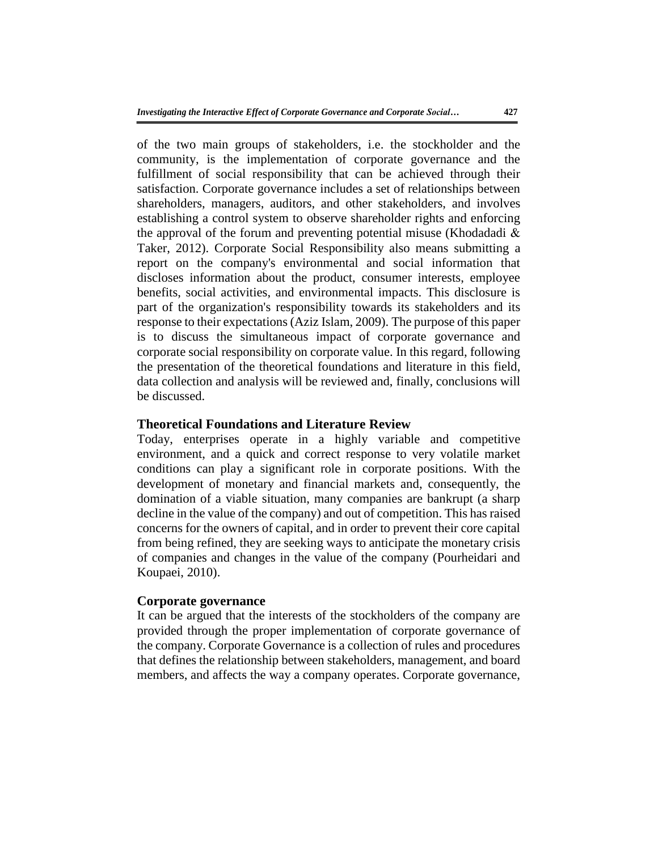of the two main groups of stakeholders, i.e. the stockholder and the community, is the implementation of corporate governance and the fulfillment of social responsibility that can be achieved through their satisfaction. Corporate governance includes a set of relationships between shareholders, managers, auditors, and other stakeholders, and involves establishing a control system to observe shareholder rights and enforcing the approval of the forum and preventing potential misuse (Khodadadi  $\&$ Taker, 2012). Corporate Social Responsibility also means submitting a report on the company's environmental and social information that discloses information about the product, consumer interests, employee benefits, social activities, and environmental impacts. This disclosure is part of the organization's responsibility towards its stakeholders and its response to their expectations (Aziz Islam, 2009). The purpose of this paper is to discuss the simultaneous impact of corporate governance and corporate social responsibility on corporate value. In this regard, following the presentation of the theoretical foundations and literature in this field, data collection and analysis will be reviewed and, finally, conclusions will be discussed.

## **Theoretical Foundations and Literature Review**

Today, enterprises operate in a highly variable and competitive environment, and a quick and correct response to very volatile market conditions can play a significant role in corporate positions. With the development of monetary and financial markets and, consequently, the domination of a viable situation, many companies are bankrupt (a sharp decline in the value of the company) and out of competition. This has raised concerns for the owners of capital, and in order to prevent their core capital from being refined, they are seeking ways to anticipate the monetary crisis of companies and changes in the value of the company (Pourheidari and Koupaei, 2010).

# **Corporate governance**

It can be argued that the interests of the stockholders of the company are provided through the proper implementation of corporate governance of the company. Corporate Governance is a collection of rules and procedures that defines the relationship between stakeholders, management, and board members, and affects the way a company operates. Corporate governance,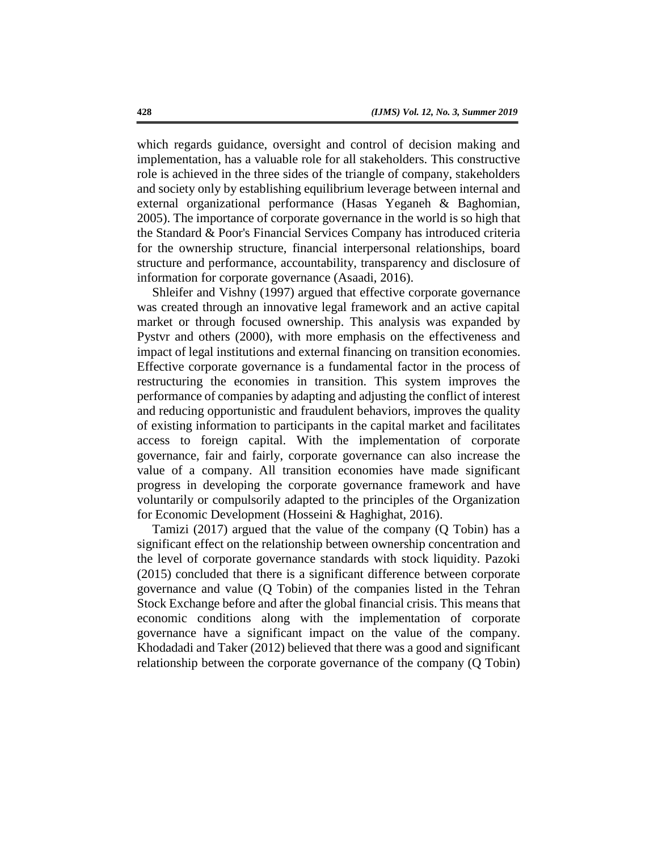which regards guidance, oversight and control of decision making and implementation, has a valuable role for all stakeholders. This constructive role is achieved in the three sides of the triangle of company, stakeholders and society only by establishing equilibrium leverage between internal and external organizational performance (Hasas Yeganeh & Baghomian, 2005). The importance of corporate governance in the world is so high that the Standard & Poor's Financial Services Company has introduced criteria for the ownership structure, financial interpersonal relationships, board structure and performance, accountability, transparency and disclosure of information for corporate governance (Asaadi, 2016).

Shleifer and Vishny (1997) argued that effective corporate governance was created through an innovative legal framework and an active capital market or through focused ownership. This analysis was expanded by Pystvr and others (2000), with more emphasis on the effectiveness and impact of legal institutions and external financing on transition economies. Effective corporate governance is a fundamental factor in the process of restructuring the economies in transition. This system improves the performance of companies by adapting and adjusting the conflict of interest and reducing opportunistic and fraudulent behaviors, improves the quality of existing information to participants in the capital market and facilitates access to foreign capital. With the implementation of corporate governance, fair and fairly, corporate governance can also increase the value of a company. All transition economies have made significant progress in developing the corporate governance framework and have voluntarily or compulsorily adapted to the principles of the Organization for Economic Development (Hosseini & Haghighat, 2016).

Tamizi (2017) argued that the value of the company (Q Tobin) has a significant effect on the relationship between ownership concentration and the level of corporate governance standards with stock liquidity. Pazoki (2015) concluded that there is a significant difference between corporate governance and value (Q Tobin) of the companies listed in the Tehran Stock Exchange before and after the global financial crisis. This means that economic conditions along with the implementation of corporate governance have a significant impact on the value of the company. Khodadadi and Taker (2012) believed that there was a good and significant relationship between the corporate governance of the company (Q Tobin)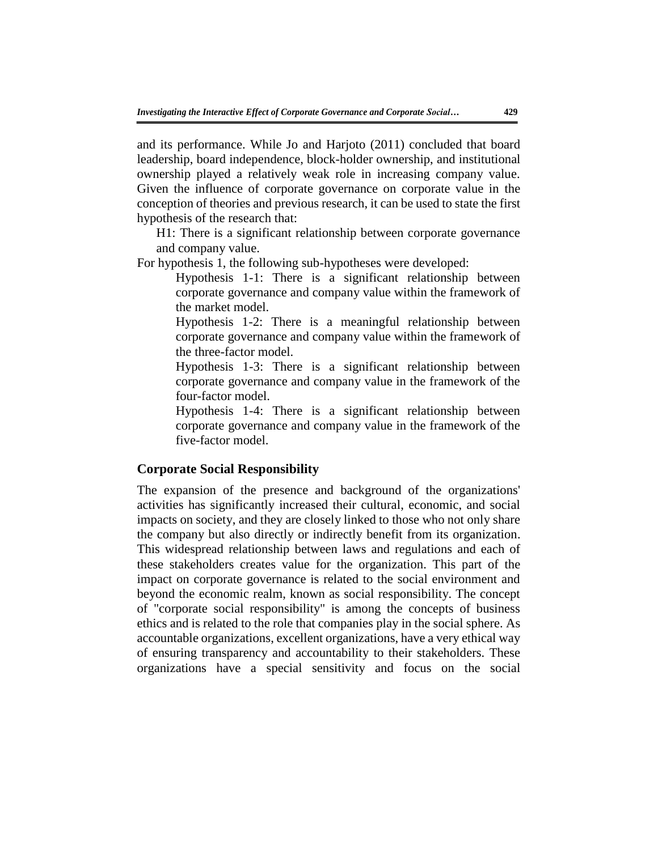and its performance. While Jo and Harjoto (2011) concluded that board leadership, board independence, block-holder ownership, and institutional ownership played a relatively weak role in increasing company value. Given the influence of corporate governance on corporate value in the conception of theories and previous research, it can be used to state the first hypothesis of the research that:

H1: There is a significant relationship between corporate governance and company value.

For hypothesis 1, the following sub-hypotheses were developed:

Hypothesis 1-1: There is a significant relationship between corporate governance and company value within the framework of the market model.

Hypothesis 1-2: There is a meaningful relationship between corporate governance and company value within the framework of the three-factor model.

Hypothesis 1-3: There is a significant relationship between corporate governance and company value in the framework of the four-factor model.

Hypothesis 1-4: There is a significant relationship between corporate governance and company value in the framework of the five-factor model.

# **Corporate Social Responsibility**

The expansion of the presence and background of the organizations' activities has significantly increased their cultural, economic, and social impacts on society, and they are closely linked to those who not only share the company but also directly or indirectly benefit from its organization. This widespread relationship between laws and regulations and each of these stakeholders creates value for the organization. This part of the impact on corporate governance is related to the social environment and beyond the economic realm, known as social responsibility. The concept of "corporate social responsibility" is among the concepts of business ethics and is related to the role that companies play in the social sphere. As accountable organizations, excellent organizations, have a very ethical way of ensuring transparency and accountability to their stakeholders. These organizations have a special sensitivity and focus on the social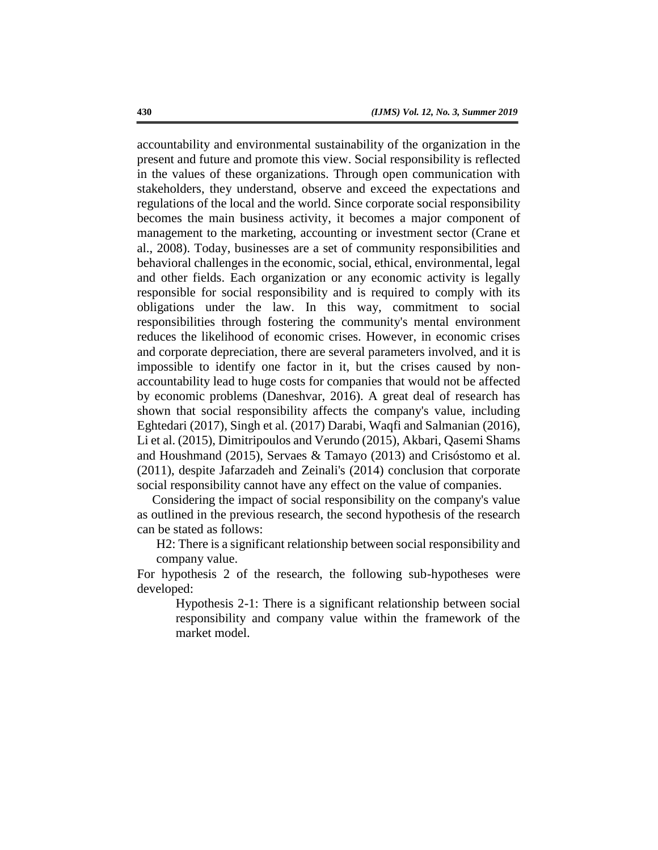accountability and environmental sustainability of the organization in the present and future and promote this view. Social responsibility is reflected in the values of these organizations. Through open communication with stakeholders, they understand, observe and exceed the expectations and regulations of the local and the world. Since corporate social responsibility becomes the main business activity, it becomes a major component of management to the marketing, accounting or investment sector (Crane et al., 2008). Today, businesses are a set of community responsibilities and behavioral challenges in the economic, social, ethical, environmental, legal and other fields. Each organization or any economic activity is legally responsible for social responsibility and is required to comply with its obligations under the law. In this way, commitment to social responsibilities through fostering the community's mental environment reduces the likelihood of economic crises. However, in economic crises and corporate depreciation, there are several parameters involved, and it is impossible to identify one factor in it, but the crises caused by nonaccountability lead to huge costs for companies that would not be affected by economic problems (Daneshvar, 2016). A great deal of research has shown that social responsibility affects the company's value, including Eghtedari (2017), Singh et al. (2017) Darabi, Waqfi and Salmanian (2016), Li et al. (2015), Dimitripoulos and Verundo (2015), Akbari, Qasemi Shams and Houshmand (2015), Servaes & Tamayo (2013) and Crisóstomo et al. (2011), despite Jafarzadeh and Zeinali's (2014) conclusion that corporate social responsibility cannot have any effect on the value of companies.

Considering the impact of social responsibility on the company's value as outlined in the previous research, the second hypothesis of the research can be stated as follows:

H2: There is a significant relationship between social responsibility and company value.

For hypothesis 2 of the research, the following sub-hypotheses were developed:

> Hypothesis 2-1: There is a significant relationship between social responsibility and company value within the framework of the market model.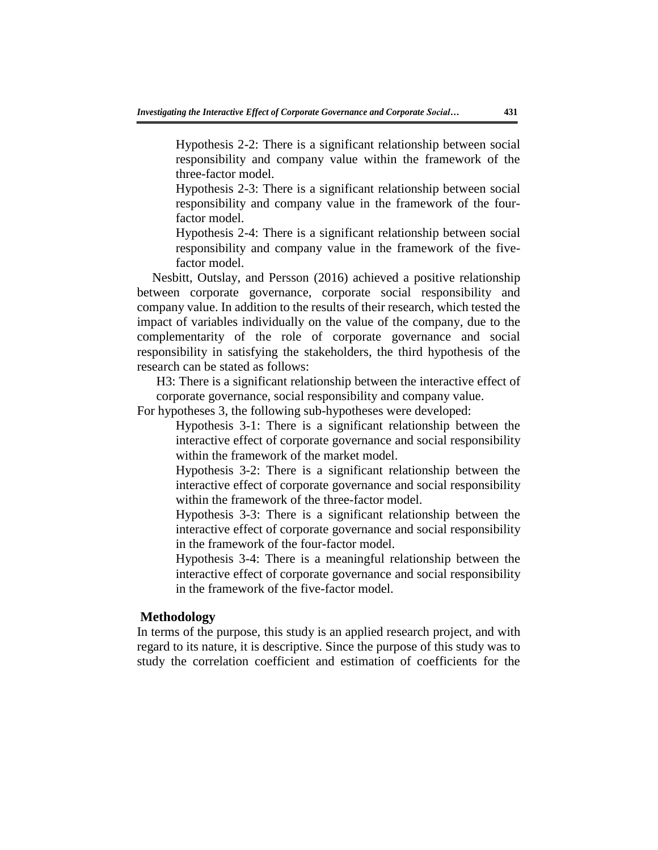Hypothesis 2-2: There is a significant relationship between social responsibility and company value within the framework of the three-factor model.

Hypothesis 2-3: There is a significant relationship between social responsibility and company value in the framework of the fourfactor model.

Hypothesis 2-4: There is a significant relationship between social responsibility and company value in the framework of the fivefactor model.

Nesbitt, Outslay, and Persson (2016) achieved a positive relationship between corporate governance, corporate social responsibility and company value. In addition to the results of their research, which tested the impact of variables individually on the value of the company, due to the complementarity of the role of corporate governance and social responsibility in satisfying the stakeholders, the third hypothesis of the research can be stated as follows:

H3: There is a significant relationship between the interactive effect of corporate governance, social responsibility and company value.

For hypotheses 3, the following sub-hypotheses were developed:

Hypothesis 3-1: There is a significant relationship between the interactive effect of corporate governance and social responsibility within the framework of the market model.

Hypothesis 3-2: There is a significant relationship between the interactive effect of corporate governance and social responsibility within the framework of the three-factor model.

Hypothesis 3-3: There is a significant relationship between the interactive effect of corporate governance and social responsibility in the framework of the four-factor model.

Hypothesis 3-4: There is a meaningful relationship between the interactive effect of corporate governance and social responsibility in the framework of the five-factor model.

### **Methodology**

In terms of the purpose, this study is an applied research project, and with regard to its nature, it is descriptive. Since the purpose of this study was to study the correlation coefficient and estimation of coefficients for the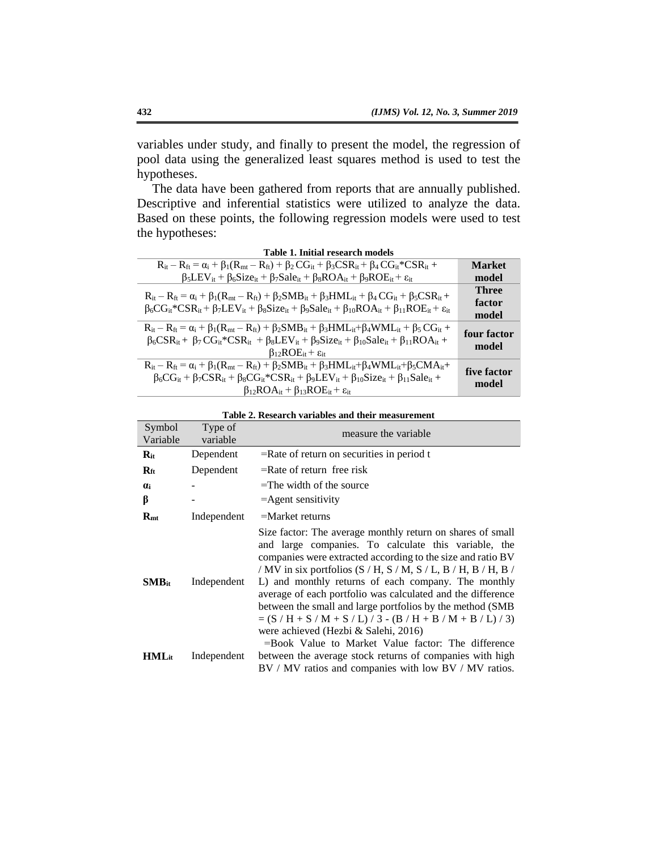variables under study, and finally to present the model, the regression of pool data using the generalized least squares method is used to test the hypotheses.

The data have been gathered from reports that are annually published. Descriptive and inferential statistics were utilized to analyze the data. Based on these points, the following regression models were used to test the hypotheses:

|               | Tame T. Hilliai Tesearch Hillies                                                                                                                                           |
|---------------|----------------------------------------------------------------------------------------------------------------------------------------------------------------------------|
| <b>Market</b> | $R_{it} - R_{ft} = \alpha_i + \beta_1(R_{mt} - R_{ft}) + \beta_2 CG_{it} + \beta_3 CSP_{it} + \beta_4 CG_{it} *CSR_{it} +$                                                 |
| model         | $\beta_5$ LEV <sub>it</sub> + $\beta_6$ Size <sub>it</sub> + $\beta_7$ Sale <sub>it</sub> + $\beta_8$ ROA <sub>it</sub> + $\beta_9$ ROE <sub>it</sub> + $\varepsilon_{it}$ |
| <b>Three</b>  | $R_{it} - R_{ft} = \alpha_i + \beta_1(R_{mt} - R_{ft}) + \beta_2 SMB_{it} + \beta_3 HML_{it} + \beta_4 CG_{it} + \beta_5CSR_{it} +$                                        |
| factor        | $\beta_6 CG_{it}^*CSR_{it} + \beta_7 LEV_{it} + \beta_8 Size_{it} + \beta_9 Sale_{it} + \beta_{10} ROA_{it} + \beta_{11} ROE_{it} + \epsilon_{it}$                         |
| model         |                                                                                                                                                                            |
|               | $R_{it} - R_{ft} = \alpha_i + \beta_1(R_{mt} - R_{ft}) + \beta_2 SMB_{it} + \beta_3 HML_{it} + \beta_4 WML_{it} + \beta_5 CG_{it} +$                                       |
| four factor   | $\beta_6CSR_{it}+\beta_7CG_{it}$ *CSR <sub>it</sub> + $\beta_8LEV_{it} + \beta_9Size_{it} + \beta_{10} Sale_{it} + \beta_{11}ROA_{it} +$                                   |
| model         | $\beta_{12}ROE_{it} + \varepsilon_{it}$                                                                                                                                    |
|               | $R_{it} - R_{ft} = \alpha_i + \beta_1(R_{mt} - R_{ft}) + \beta_2 SMB_{it} + \beta_3 HML_{it} + \beta_4 WML_{it} + \beta_5 CMA_{it} +$                                      |
| five factor   | $\beta_6 CG_{it} + \beta_7 CSR_{it} + \beta_8 CG_{it} *CSR_{it} + \beta_9 LEV_{it} + \beta_{10} Size_{it} + \beta_{11} Sale_{it} +$                                        |
| model         | $\beta_{12}ROA_{it} + \beta_{13}ROE_{it} + \varepsilon_{it}$                                                                                                               |
|               |                                                                                                                                                                            |

| Table 2. Research variables and their measurement |                     |                                                                                                                                                                                                                                                                                                                                                                                                                                                                                                                                                                                           |  |  |  |  |  |
|---------------------------------------------------|---------------------|-------------------------------------------------------------------------------------------------------------------------------------------------------------------------------------------------------------------------------------------------------------------------------------------------------------------------------------------------------------------------------------------------------------------------------------------------------------------------------------------------------------------------------------------------------------------------------------------|--|--|--|--|--|
| Symbol<br>Variable                                | Type of<br>variable | measure the variable                                                                                                                                                                                                                                                                                                                                                                                                                                                                                                                                                                      |  |  |  |  |  |
| $R_{it}$                                          | Dependent           | $=$ Rate of return on securities in period t                                                                                                                                                                                                                                                                                                                                                                                                                                                                                                                                              |  |  |  |  |  |
| $\mathbf{R}_{\rm ft}$                             | Dependent           | $=$ Rate of return free risk                                                                                                                                                                                                                                                                                                                                                                                                                                                                                                                                                              |  |  |  |  |  |
| <b>U</b> i                                        |                     | $=$ The width of the source                                                                                                                                                                                                                                                                                                                                                                                                                                                                                                                                                               |  |  |  |  |  |
| β                                                 |                     | $=$ Agent sensitivity                                                                                                                                                                                                                                                                                                                                                                                                                                                                                                                                                                     |  |  |  |  |  |
| $R_{\rm mt}$                                      | Independent         | $=$ Market returns                                                                                                                                                                                                                                                                                                                                                                                                                                                                                                                                                                        |  |  |  |  |  |
| $SMB_{it}$                                        | Independent         | Size factor: The average monthly return on shares of small<br>and large companies. To calculate this variable, the<br>companies were extracted according to the size and ratio BV<br>/ MV in six portfolios (S / H, S / M, S / L, B / H, B / H, B /<br>L) and monthly returns of each company. The monthly<br>average of each portfolio was calculated and the difference<br>between the small and large portfolios by the method (SMB<br>$= (S/H + S/M + S/L)/3 - (B/H + B/M + B/L)/3)$<br>were achieved (Hezbi & Salehi, 2016)<br>$=$ Book Value to Market Value factor: The difference |  |  |  |  |  |
| $HML_{it}$                                        | Independent         | between the average stock returns of companies with high<br>BV / MV ratios and companies with low BV / MV ratios.                                                                                                                                                                                                                                                                                                                                                                                                                                                                         |  |  |  |  |  |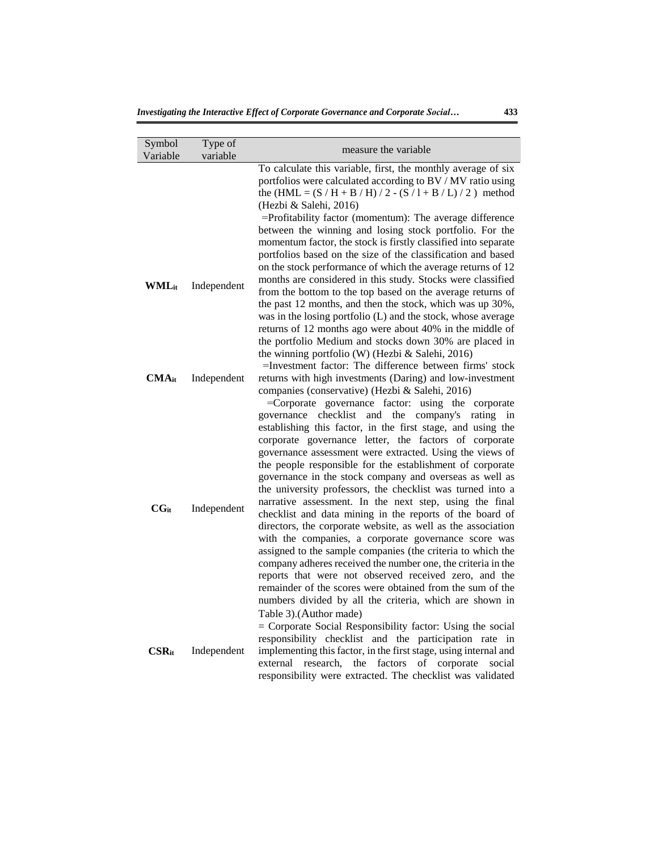| Symbol<br>Variable  | Type of<br>variable | measure the variable.                                                                                                                                                                                                                                                                                                                                                                                                                                                                                                                                                                                                                                                                                                                                                                                                                                                                                                                                                    |
|---------------------|---------------------|--------------------------------------------------------------------------------------------------------------------------------------------------------------------------------------------------------------------------------------------------------------------------------------------------------------------------------------------------------------------------------------------------------------------------------------------------------------------------------------------------------------------------------------------------------------------------------------------------------------------------------------------------------------------------------------------------------------------------------------------------------------------------------------------------------------------------------------------------------------------------------------------------------------------------------------------------------------------------|
| WMLit               | Independent         | To calculate this variable, first, the monthly average of six<br>portfolios were calculated according to BV / MV ratio using<br>the $(HML = (S/H + B/H)/2 - (S/I + B/L)/2)$ method<br>(Hezbi & Salehi, 2016)<br>=Profitability factor (momentum): The average difference<br>between the winning and losing stock portfolio. For the<br>momentum factor, the stock is firstly classified into separate<br>portfolios based on the size of the classification and based<br>on the stock performance of which the average returns of 12<br>months are considered in this study. Stocks were classified<br>from the bottom to the top based on the average returns of<br>the past 12 months, and then the stock, which was up 30%,<br>was in the losing portfolio (L) and the stock, whose average<br>returns of 12 months ago were about 40% in the middle of<br>the portfolio Medium and stocks down 30% are placed in<br>the winning portfolio (W) (Hezbi & Salehi, 2016) |
| $\mathbf{CMA}_{it}$ | Independent         | $=$ Investment factor: The difference between firms' stock<br>returns with high investments (Daring) and low-investment<br>companies (conservative) (Hezbi & Salehi, 2016)<br>=Corporate governance factor: using the corporate<br>checklist<br>the company's<br>governance<br>and<br>rating<br>in<br>establishing this factor, in the first stage, and using the                                                                                                                                                                                                                                                                                                                                                                                                                                                                                                                                                                                                        |
| $CG_{it}$           | Independent         | corporate governance letter, the factors of corporate<br>governance assessment were extracted. Using the views of<br>the people responsible for the establishment of corporate<br>governance in the stock company and overseas as well as<br>the university professors, the checklist was turned into a<br>narrative assessment. In the next step, using the final<br>checklist and data mining in the reports of the board of<br>directors, the corporate website, as well as the association<br>with the companies, a corporate governance score was<br>assigned to the sample companies (the criteria to which the<br>company adheres received the number one, the criteria in the<br>reports that were not observed received zero, and the<br>remainder of the scores were obtained from the sum of the<br>numbers divided by all the criteria, which are shown in                                                                                                   |
| $CSR_{it}$          | Independent         | Table 3).(Author made)<br>$=$ Corporate Social Responsibility factor: Using the social<br>responsibility checklist and the participation rate in<br>implementing this factor, in the first stage, using internal and<br>corporate<br>external<br>research,<br>the<br>factors<br>of<br>social<br>responsibility were extracted. The checklist was validated                                                                                                                                                                                                                                                                                                                                                                                                                                                                                                                                                                                                               |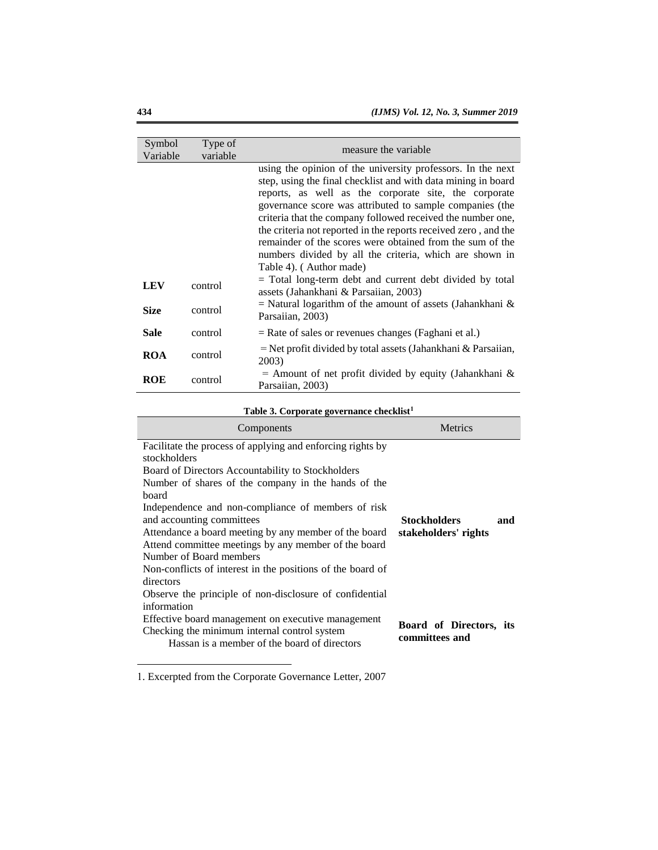| Symbol<br>Variable | Type of<br>variable | measure the variable                                                                                                                                                                                                                                                                                                                                                                                                                                                                                                                                                                               |
|--------------------|---------------------|----------------------------------------------------------------------------------------------------------------------------------------------------------------------------------------------------------------------------------------------------------------------------------------------------------------------------------------------------------------------------------------------------------------------------------------------------------------------------------------------------------------------------------------------------------------------------------------------------|
|                    |                     | using the opinion of the university professors. In the next<br>step, using the final checklist and with data mining in board<br>reports, as well as the corporate site, the corporate<br>governance score was attributed to sample companies (the<br>criteria that the company followed received the number one,<br>the criteria not reported in the reports received zero, and the<br>remainder of the scores were obtained from the sum of the<br>numbers divided by all the criteria, which are shown in<br>Table 4). (Author made)<br>= Total long-term debt and current debt divided by total |
| <b>LEV</b>         | control             | assets (Jahankhani & Parsaiian, 2003)                                                                                                                                                                                                                                                                                                                                                                                                                                                                                                                                                              |
| <b>Size</b>        | control             | $=$ Natural logarithm of the amount of assets (Jahankhani &<br>Parsaiian, 2003)                                                                                                                                                                                                                                                                                                                                                                                                                                                                                                                    |
| Sale               | control             | $=$ Rate of sales or revenues changes (Faghani et al.)                                                                                                                                                                                                                                                                                                                                                                                                                                                                                                                                             |
| ROA                | control             | = Net profit divided by total assets (Jahankhani & Parsaiian,<br>2003)                                                                                                                                                                                                                                                                                                                                                                                                                                                                                                                             |
| <b>ROE</b>         | control             | $=$ Amount of net profit divided by equity (Jahankhani &<br>Parsaiian, 2003)                                                                                                                                                                                                                                                                                                                                                                                                                                                                                                                       |

# **Table 3. Corporate governance checklist<sup>1</sup>**

| Table 5. Corporate governance checkilst                                                                                                                                                                                                                                                                                                                                                                                                                                                                                                                                             |                                                    |
|-------------------------------------------------------------------------------------------------------------------------------------------------------------------------------------------------------------------------------------------------------------------------------------------------------------------------------------------------------------------------------------------------------------------------------------------------------------------------------------------------------------------------------------------------------------------------------------|----------------------------------------------------|
| Components                                                                                                                                                                                                                                                                                                                                                                                                                                                                                                                                                                          | <b>Metrics</b>                                     |
| Facilitate the process of applying and enforcing rights by<br>stockholders<br>Board of Directors Accountability to Stockholders<br>Number of shares of the company in the hands of the<br>board<br>Independence and non-compliance of members of risk<br>and accounting committees<br>Attendance a board meeting by any member of the board<br>Attend committee meetings by any member of the board<br>Number of Board members<br>Non-conflicts of interest in the positions of the board of<br>directors<br>Observe the principle of non-disclosure of confidential<br>information | <b>Stockholders</b><br>and<br>stakeholders' rights |
| Effective board management on executive management<br>Checking the minimum internal control system<br>Hassan is a member of the board of directors                                                                                                                                                                                                                                                                                                                                                                                                                                  | Board of Directors, its<br>committees and          |

<sup>1.</sup> Excerpted from the Corporate Governance Letter, 2007

 $\overline{\phantom{a}}$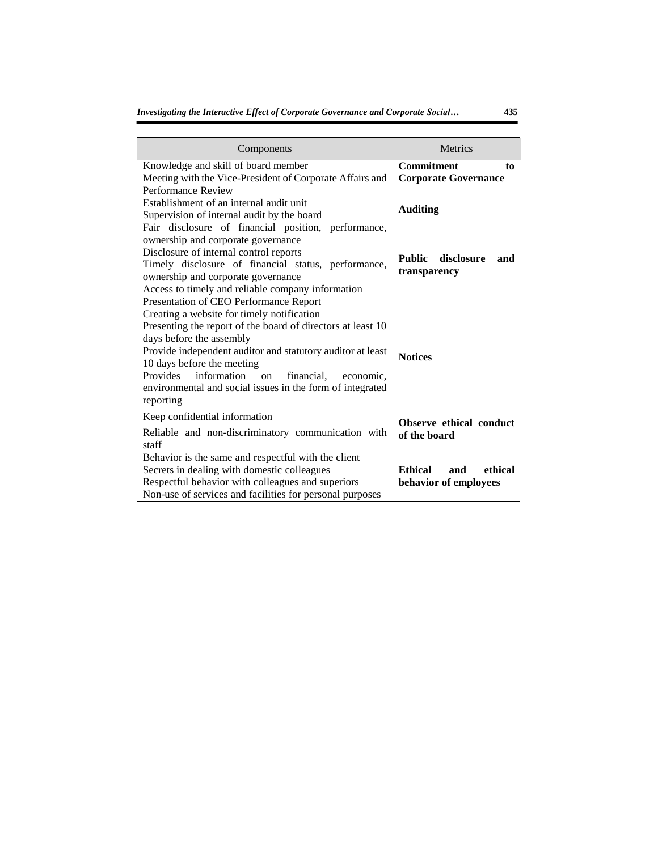| Components                                                                                                                                                                                                                                                                                                                                                                                                           | <b>Metrics</b>                                            |
|----------------------------------------------------------------------------------------------------------------------------------------------------------------------------------------------------------------------------------------------------------------------------------------------------------------------------------------------------------------------------------------------------------------------|-----------------------------------------------------------|
| Knowledge and skill of board member<br>Meeting with the Vice-President of Corporate Affairs and<br>Performance Review                                                                                                                                                                                                                                                                                                | <b>Commitment</b><br>to<br><b>Corporate Governance</b>    |
| Establishment of an internal audit unit<br>Supervision of internal audit by the board<br>Fair disclosure of financial position, performance,                                                                                                                                                                                                                                                                         | <b>Auditing</b>                                           |
| ownership and corporate governance<br>Disclosure of internal control reports<br>Timely disclosure of financial status, performance,<br>ownership and corporate governance<br>Access to timely and reliable company information                                                                                                                                                                                       | disclosure<br><b>Public</b><br>and<br>transparency        |
| Presentation of CEO Performance Report<br>Creating a website for timely notification<br>Presenting the report of the board of directors at least 10<br>days before the assembly<br>Provide independent auditor and statutory auditor at least<br>10 days before the meeting<br>Provides information<br>$\alpha$<br>financial,<br>economic,<br>environmental and social issues in the form of integrated<br>reporting | <b>Notices</b>                                            |
| Keep confidential information<br>Reliable and non-discriminatory communication with<br>staff                                                                                                                                                                                                                                                                                                                         | Observe ethical conduct<br>of the board                   |
| Behavior is the same and respectful with the client<br>Secrets in dealing with domestic colleagues<br>Respectful behavior with colleagues and superiors<br>Non-use of services and facilities for personal purposes                                                                                                                                                                                                  | <b>Ethical</b><br>ethical<br>and<br>behavior of employees |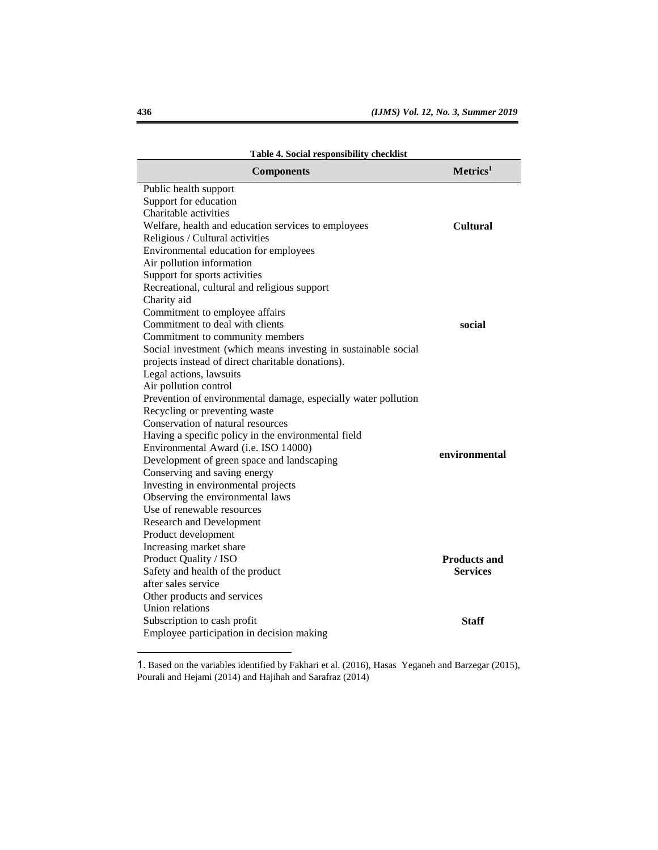| таріе 4. Social геѕроняютну спескня                            |                      |
|----------------------------------------------------------------|----------------------|
| <b>Components</b>                                              | Metrics <sup>1</sup> |
| Public health support                                          |                      |
| Support for education                                          |                      |
| Charitable activities                                          |                      |
| Welfare, health and education services to employees            | <b>Cultural</b>      |
| Religious / Cultural activities                                |                      |
| Environmental education for employees                          |                      |
| Air pollution information                                      |                      |
| Support for sports activities                                  |                      |
| Recreational, cultural and religious support                   |                      |
| Charity aid                                                    |                      |
| Commitment to employee affairs                                 |                      |
| Commitment to deal with clients                                | social               |
| Commitment to community members                                |                      |
| Social investment (which means investing in sustainable social |                      |
| projects instead of direct charitable donations).              |                      |
| Legal actions, lawsuits                                        |                      |
| Air pollution control                                          |                      |
| Prevention of environmental damage, especially water pollution |                      |
| Recycling or preventing waste                                  |                      |
| Conservation of natural resources                              |                      |
| Having a specific policy in the environmental field            |                      |
| Environmental Award (i.e. ISO 14000)                           | environmental        |
| Development of green space and landscaping                     |                      |
| Conserving and saving energy                                   |                      |
| Investing in environmental projects                            |                      |
| Observing the environmental laws                               |                      |
| Use of renewable resources                                     |                      |
| <b>Research and Development</b>                                |                      |
| Product development                                            |                      |
| Increasing market share                                        |                      |
| Product Quality / ISO                                          | <b>Products and</b>  |
| Safety and health of the product                               | <b>Services</b>      |
| after sales service                                            |                      |
| Other products and services                                    |                      |
| Union relations                                                |                      |
| Subscription to cash profit                                    | <b>Staff</b>         |
| Employee participation in decision making                      |                      |

**Table 4. Social responsibility checklist**

 $\overline{\phantom{a}}$ 

<sup>1</sup>. Based on the variables identified by Fakhari et al. (2016), Hasas Yeganeh and Barzegar (2015), Pourali and Hejami (2014) and Hajihah and Sarafraz (2014)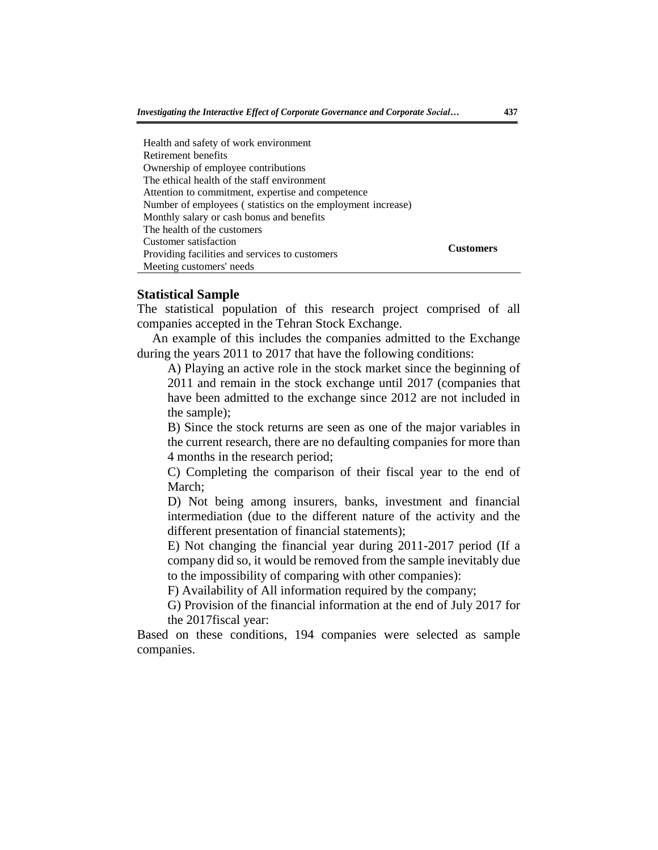| Health and safety of work environment                       |                  |
|-------------------------------------------------------------|------------------|
| Retirement benefits                                         |                  |
| Ownership of employee contributions                         |                  |
| The ethical health of the staff environment                 |                  |
| Attention to commitment, expertise and competence           |                  |
| Number of employees (statistics on the employment increase) |                  |
| Monthly salary or cash bonus and benefits                   |                  |
| The health of the customers                                 |                  |
| Customer satisfaction                                       | <b>Customers</b> |
| Providing facilities and services to customers              |                  |
| Meeting customers' needs                                    |                  |

# **Statistical Sample**

The statistical population of this research project comprised of all companies accepted in the Tehran Stock Exchange.

An example of this includes the companies admitted to the Exchange during the years 2011 to 2017 that have the following conditions:

A) Playing an active role in the stock market since the beginning of 2011 and remain in the stock exchange until 2017 (companies that have been admitted to the exchange since 2012 are not included in the sample);

B) Since the stock returns are seen as one of the major variables in the current research, there are no defaulting companies for more than 4 months in the research period;

C) Completing the comparison of their fiscal year to the end of March:

D) Not being among insurers, banks, investment and financial intermediation (due to the different nature of the activity and the different presentation of financial statements);

E) Not changing the financial year during 2011-2017 period (If a company did so, it would be removed from the sample inevitably due to the impossibility of comparing with other companies):

F) Availability of All information required by the company;

G) Provision of the financial information at the end of July 2017 for the 2017fiscal year:

Based on these conditions, 194 companies were selected as sample companies.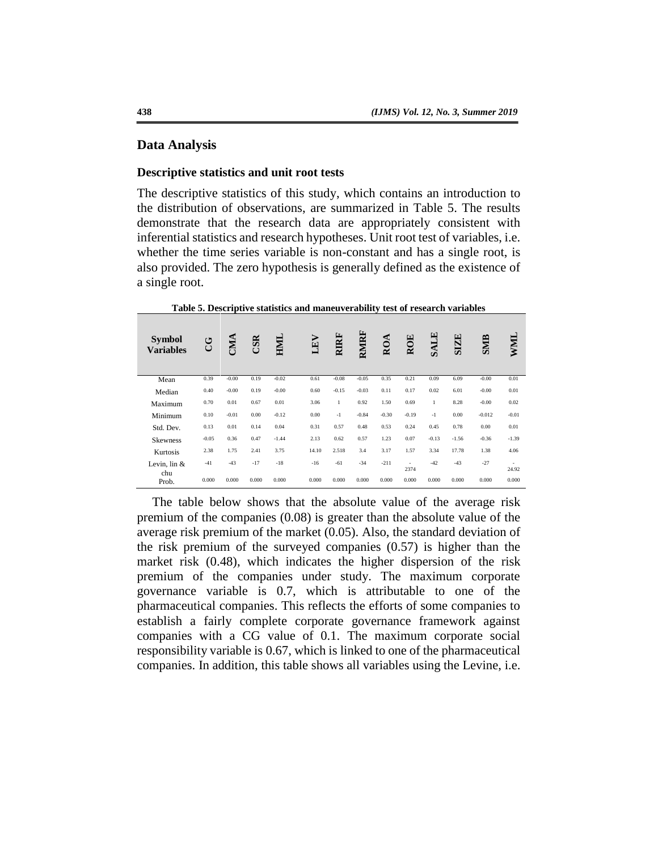## **Data Analysis**

#### **Descriptive statistics and unit root tests**

The descriptive statistics of this study, which contains an introduction to the distribution of observations, are summarized in Table 5. The results demonstrate that the research data are appropriately consistent with inferential statistics and research hypotheses. Unit root test of variables, i.e. whether the time series variable is non-constant and has a single root, is also provided. The zero hypothesis is generally defined as the existence of a single root.

| <b>Symbol</b><br><b>Variables</b> | ئ       | CMA     | CSR   | $H\!M\!I$ | LEV   | <b>RIRF</b>  | RMIRF   | ROA     | <b>ROE</b> | <b>SALE</b>  | <b>SIZE</b> | <b>SMIB</b> | MML             |
|-----------------------------------|---------|---------|-------|-----------|-------|--------------|---------|---------|------------|--------------|-------------|-------------|-----------------|
| Mean                              | 0.39    | $-0.00$ | 0.19  | $-0.02$   | 0.61  | $-0.08$      | $-0.05$ | 0.35    | 0.21       | 0.09         | 6.09        | $-0.00$     | 0.01            |
| Median                            | 0.40    | $-0.00$ | 0.19  | $-0.00$   | 0.60  | $-0.15$      | $-0.03$ | 0.11    | 0.17       | 0.02         | 6.01        | $-0.00$     | 0.01            |
| Maximum                           | 0.70    | 0.01    | 0.67  | 0.01      | 3.06  | $\mathbf{1}$ | 0.92    | 1.50    | 0.69       | $\mathbf{1}$ | 8.28        | $-0.00$     | 0.02            |
| Minimum                           | 0.10    | $-0.01$ | 0.00  | $-0.12$   | 0.00  | $-1$         | $-0.84$ | $-0.30$ | $-0.19$    | $-1$         | 0.00        | $-0.012$    | $-0.01$         |
| Std. Dev.                         | 0.13    | 0.01    | 0.14  | 0.04      | 0.31  | 0.57         | 0.48    | 0.53    | 0.24       | 0.45         | 0.78        | 0.00        | 0.01            |
| <b>Skewness</b>                   | $-0.05$ | 0.36    | 0.47  | $-1.44$   | 2.13  | 0.62         | 0.57    | 1.23    | 0.07       | $-0.13$      | $-1.56$     | $-0.36$     | $-1.39$         |
| Kurtosis                          | 2.38    | 1.75    | 2.41  | 3.75      | 14.10 | 2.518        | 3.4     | 3.17    | 1.57       | 3.34         | 17.78       | 1.38        | 4.06            |
| Levin. $\ln \&$<br>chu            | $-41$   | $-43$   | $-17$ | $-18$     | $-16$ | $-61$        | $-34$   | $-211$  | 2374       | $-42$        | $-43$       | $-27$       | $\sim$<br>24.92 |
| Prob.                             | 0.000   | 0.000   | 0.000 | 0.000     | 0.000 | 0.000        | 0.000   | 0.000   | 0.000      | 0.000        | 0.000       | 0.000       | 0.000           |

**Table 5. Descriptive statistics and maneuverability test of research variables**

The table below shows that the absolute value of the average risk premium of the companies (0.08) is greater than the absolute value of the average risk premium of the market (0.05). Also, the standard deviation of the risk premium of the surveyed companies (0.57) is higher than the market risk (0.48), which indicates the higher dispersion of the risk premium of the companies under study. The maximum corporate governance variable is 0.7, which is attributable to one of the pharmaceutical companies. This reflects the efforts of some companies to establish a fairly complete corporate governance framework against companies with a CG value of 0.1. The maximum corporate social responsibility variable is 0.67, which is linked to one of the pharmaceutical companies. In addition, this table shows all variables using the Levine, i.e.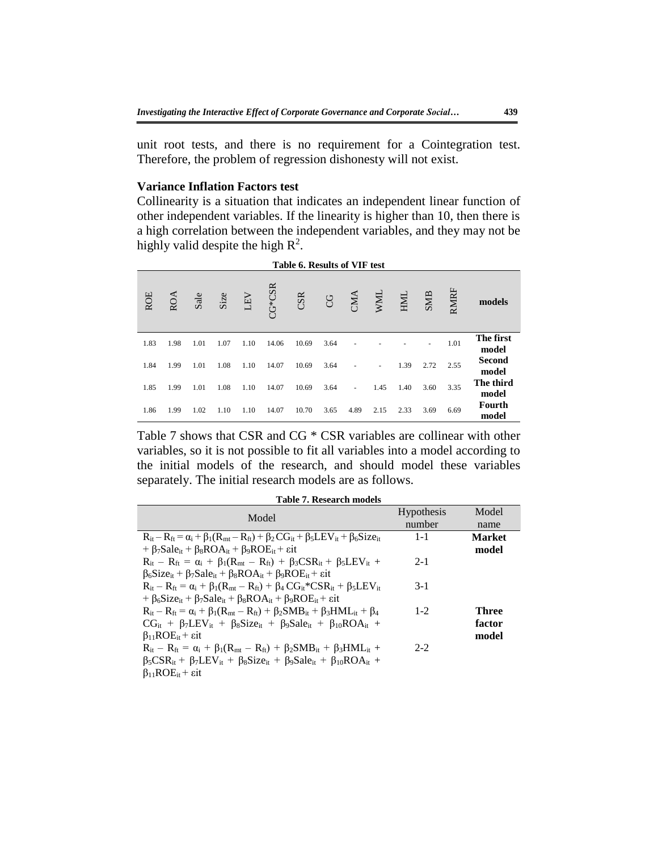unit root tests, and there is no requirement for a Cointegration test. Therefore, the problem of regression dishonesty will not exist.

# **Variance Inflation Factors test**

Collinearity is a situation that indicates an independent linear function of other independent variables. If the linearity is higher than 10, then there is a high correlation between the independent variables, and they may not be highly valid despite the high  $\mathbb{R}^2$ .

|                        |      |      |      |            |                  |           | Table 6. Results of VIF test |       |      |      |      |            |            |
|------------------------|------|------|------|------------|------------------|-----------|------------------------------|-------|------|------|------|------------|------------|
| models                 | RMRF | SMB  | HML  | <b>NNI</b> | $\sum_{i=1}^{n}$ | <b>CG</b> | CSR                          | G*CSR | LEV  | Size | Sale | <b>ROA</b> | <b>ROE</b> |
| The first<br>model     | 1.01 |      |      |            |                  | 3.64      | 10.69                        | 14.06 | 1.10 | 1.07 | 1.01 | 1.98       | 1.83       |
| <b>Second</b><br>model | 2.55 | 2.72 | 1.39 |            |                  | 3.64      | 10.69                        | 14.07 | 1.10 | 1.08 | 1.01 | 1.99       | 1.84       |
| The third<br>model     | 3.35 | 3.60 | 1.40 | 1.45       | ٠                | 3.64      | 10.69                        | 14.07 | 1.10 | 1.08 | 1.01 | 1.99       | 1.85       |
| Fourth<br>model        | 6.69 | 3.69 | 2.33 | 2.15       | 4.89             | 3.65      | 10.70                        | 14.07 | 1.10 | 1.10 | 1.02 | 1.99       | 1.86       |

Table 7 shows that CSR and CG \* CSR variables are collinear with other variables, so it is not possible to fit all variables into a model according to the initial models of the research, and should model these variables separately. The initial research models are as follows.

|                                                                                                                                           | <b>Hypothesis</b> | Model         |
|-------------------------------------------------------------------------------------------------------------------------------------------|-------------------|---------------|
| Model                                                                                                                                     | number            | name          |
| $R_{it} - R_{ft} = \alpha_i + \beta_1(R_{mt} - R_{ft}) + \beta_2 CG_{it} + \beta_5 LEV_{it} + \beta_6 Size_{it}$                          | $1 - 1$           | <b>Market</b> |
| + $\beta_7$ Sale <sub>it</sub> + $\beta_8$ ROA <sub>it</sub> + $\beta_9$ ROE <sub>it</sub> + $\epsilon$ it                                |                   | model         |
| $R_{it} - R_{ft} = \alpha_i + \beta_1(R_{mt} - R_{ft}) + \beta_3CSR_{it} + \beta_5LEV_{it} +$                                             | $2 - 1$           |               |
| $\beta_6Size_{it} + \beta_7 Sale_{it} + \beta_8 ROA_{it} + \beta_9 ROE_{it} + \epsilon it$                                                |                   |               |
| $R_{it} - R_{ft} = \alpha_i + \beta_1 (R_{mt} - R_{ft}) + \beta_4 C G_{it}^* C S R_{it} + \beta_5 L E V_{it}$                             | $3-1$             |               |
| + $\beta_6$ Size <sub>it</sub> + $\beta_7$ Sale <sub>it</sub> + $\beta_8$ ROA <sub>it</sub> + $\beta_9$ ROE <sub>it</sub> + $\epsilon$ it |                   |               |
| $R_{it} - R_{ft} = \alpha_i + \beta_1(R_{mt} - R_{ft}) + \beta_2 SMB_{it} + \beta_3 HML_{it} + \beta_4$                                   | $1 - 2$           | <b>Three</b>  |
| $CG_{it} + \beta_7 LEV_{it} + \beta_8 Size_{it} + \beta_9 Sale_{it} + \beta_{10} ROA_{it} +$                                              |                   | factor        |
| $\beta_{11}ROE_{it} + \epsilon it$                                                                                                        |                   | model         |
| $R_{it} - R_{ft} = \alpha_i + \beta_1(R_{mt} - R_{ft}) + \beta_2 SMB_{it} + \beta_3 HML_{it} +$                                           | $2 - 2$           |               |
| $\beta_5CSR_{it}+\beta_7LEV_{it}+\beta_8Size_{it}+\beta_9 Sale_{it}+\beta_{10ROA_{it}+$                                                   |                   |               |
| $\beta_{11}ROE_{it} + \epsilon it$                                                                                                        |                   |               |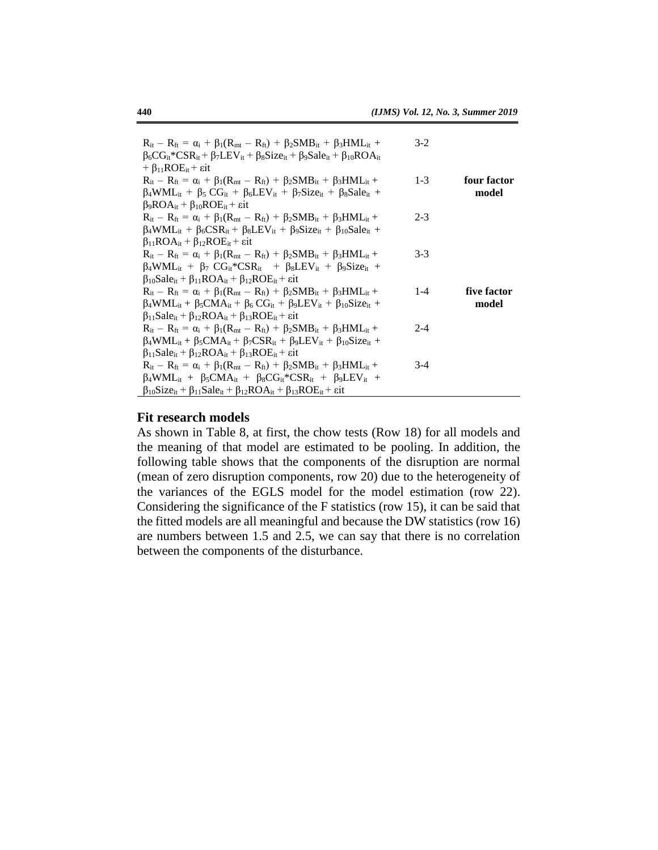| $R_{it} - R_{ft} = \alpha_i + \beta_1(R_{mt} - R_{ft}) + \beta_2 SMB_{it} + \beta_3 HML_{it} +$<br>$\beta_6 CG_{it}$ *CSR <sub>it</sub> + $\beta_7$ LEV <sub>it</sub> + $\beta_8$ Size <sub>it</sub> + $\beta_9$ Sale <sub>it</sub> + $\beta_{10}$ ROA <sub>it</sub> | $3-2$   |             |
|----------------------------------------------------------------------------------------------------------------------------------------------------------------------------------------------------------------------------------------------------------------------|---------|-------------|
| + $\beta_{11}ROE_{it}$ + $\varepsilon$ it                                                                                                                                                                                                                            |         |             |
| $R_{it} - R_{ft} = \alpha_i + \beta_1(R_{mt} - R_{ft}) + \beta_2 SMB_{it} + \beta_3 HML_{it} +$                                                                                                                                                                      | $1 - 3$ | four factor |
| $\beta_4$ WML <sub>it</sub> + $\beta_5$ CG <sub>it</sub> + $\beta_6$ LEV <sub>it</sub> + $\beta_7$ Size <sub>it</sub> + $\beta_8$ Sale <sub>it</sub> +                                                                                                               |         | model       |
| $\beta_9ROA_{it} + \beta_{10}ROE_{it} + \text{eit}$                                                                                                                                                                                                                  |         |             |
| $R_{it} - R_{ft} = \alpha_i + \beta_1(R_{mt} - R_{ft}) + \beta_2 SMB_{it} + \beta_3 HML_{it} +$                                                                                                                                                                      | $2 - 3$ |             |
| $\beta_4$ WML <sub>it</sub> + $\beta_6$ CSR <sub>it</sub> + $\beta_8$ LEV <sub>it</sub> + $\beta_9$ Size <sub>it</sub> + $\beta_{10}$ Sale <sub>it</sub> +                                                                                                           |         |             |
| $\beta_{11}ROA_{it} + \beta_{12}ROE_{it} + \epsilon it$                                                                                                                                                                                                              |         |             |
| $R_{it} - R_{ft} = \alpha_i + \beta_1(R_{mt} - R_{ft}) + \beta_2 SMB_{it} + \beta_3 HML_{it} +$                                                                                                                                                                      | $3-3$   |             |
| $\beta_4 WML_{it} + \beta_7 CG_{it}^*CSR_{it} + \beta_8 LEV_{it} + \beta_9 Size_{it} +$                                                                                                                                                                              |         |             |
| $\beta_{10}$ Sale <sub>it</sub> + $\beta_{11}$ ROA <sub>it</sub> + $\beta_{12}$ ROE <sub>it</sub> + $\varepsilon$ it                                                                                                                                                 |         |             |
| $R_{it} - R_{ft} = \alpha_i + \beta_1(R_{mt} - R_{ft}) + \beta_2 SMB_{it} + \beta_3 HML_{it} +$                                                                                                                                                                      | $1 - 4$ | five factor |
| $\beta_4$ WML <sub>it</sub> + $\beta_5$ CMA <sub>it</sub> + $\beta_6$ CG <sub>it</sub> + $\beta_9$ LEV <sub>it</sub> + $\beta_{10}$ Size <sub>it</sub> +                                                                                                             |         | model       |
| $\beta_{11}$ Sale <sub>it</sub> + $\beta_{12}$ ROA <sub>it</sub> + $\beta_{13}$ ROE <sub>it</sub> + $\epsilon$ it                                                                                                                                                    |         |             |
| $R_{it} - R_{ft} = \alpha_i + \beta_1 (R_{mt} - R_{ft}) + \beta_2 SMB_{it} + \beta_3 HML_{it} +$                                                                                                                                                                     | $2 - 4$ |             |
| $\beta_4$ WML <sub>it</sub> + $\beta_5$ CMA <sub>it</sub> + $\beta_7$ CSR <sub>it</sub> + $\beta_9$ LEV <sub>it</sub> + $\beta_{10}$ Size <sub>it</sub> +                                                                                                            |         |             |
| $\beta_{11}$ Sale <sub>it</sub> + $\beta_{12}$ ROA <sub>it</sub> + $\beta_{13}$ ROE <sub>it</sub> + $\epsilon$ it                                                                                                                                                    |         |             |
| $R_{it} - R_{ft} = \alpha_i + \beta_1(R_{mt} - R_{ft}) + \beta_2 SMB_{it} + \beta_3 HML_{it} +$                                                                                                                                                                      | $3-4$   |             |
| $\beta_4 WML_{it} + \beta_5 CMA_{it} + \beta_8 CG_{it}^* CSR_{it} + \beta_9 LEV_{it} +$                                                                                                                                                                              |         |             |
| $\beta_{10}Size_{it} + \beta_{11} Sale_{it} + \beta_{12} ROA_{it} + \beta_{13} ROE_{it} + \epsilon it$                                                                                                                                                               |         |             |

## **Fit research models**

As shown in Table 8, at first, the chow tests (Row 18) for all models and the meaning of that model are estimated to be pooling. In addition, the following table shows that the components of the disruption are normal (mean of zero disruption components, row 20) due to the heterogeneity of the variances of the EGLS model for the model estimation (row 22). Considering the significance of the F statistics (row 15), it can be said that the fitted models are all meaningful and because the DW statistics (row 16) are numbers between 1.5 and 2.5, we can say that there is no correlation between the components of the disturbance.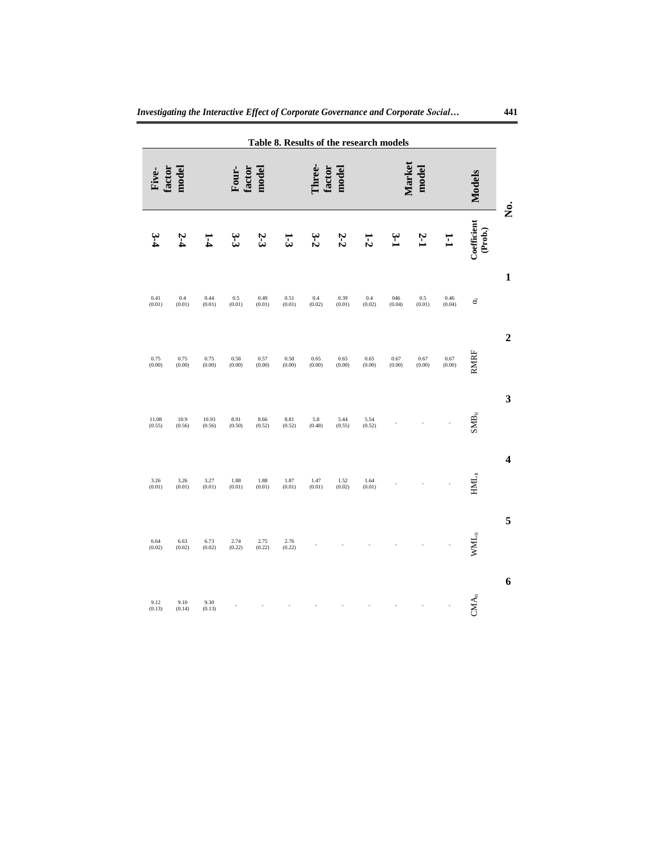|                         | Table 8. Results of the research models                             |                |                |                    |                |                              |                |                |                         |                |                 |                 |                 |  |
|-------------------------|---------------------------------------------------------------------|----------------|----------------|--------------------|----------------|------------------------------|----------------|----------------|-------------------------|----------------|-----------------|-----------------|-----------------|--|
|                         | <b>Models</b>                                                       |                | model          | Market             |                | .<br>hree<br>factor<br>model |                |                | model<br>factor<br>Four |                |                 | model<br>factor |                 |  |
| .<br>Š                  | $\begin{array}{c} \text{Coefficient} \\ (\text{Prob.}) \end{array}$ | $\Xi$          | 2-1            | $\mathbf{\hat{z}}$ | $1-2$          | 2-2                          | $3-2$          | 1-3            | 2-3                     | 3.<br>G        | -<br>4          | 2-4             |                 |  |
| $\mathbf 1$             | శ                                                                   | 0.46<br>(0.04) | 0.5<br>(0.01)  | 046<br>(0.04)      | 0.4<br>(0.02)  | 0.39<br>(0.01)               | 0.4<br>(0.02)  | 0.51<br>(0.01) | 0.49<br>(0.01)          | 0.5<br>(0.01)  | 0.44<br>(0.01)  | 0.4<br>(0.01)   | 0.41<br>(0.01)  |  |
| $\boldsymbol{2}$        | <b>RMRF</b>                                                         | 0.67<br>(0.00) | 0.67<br>(0.00) | 0.67<br>(0.00)     | 0.65<br>(0.00) | 0.65<br>(0.00)               | 0.65<br>(0.00) | 0.58<br>(0.00) | 0.57<br>(0.00)          | 0.58<br>(0.00) | 0.75<br>(0.00)  | 0.75<br>(0.00)  | 0.75<br>(0.00)  |  |
| 3                       | $\mathbf{SMB}_{\mathrm{it}}$                                        |                |                |                    | 5.54<br>(0.52) | 5.44<br>(0.55)               | 5.8<br>(0.48)  | 8.81<br>(0.52) | 8.66<br>(0.52)          | 8.91<br>(0.50) | 10.93<br>(0.56) | 10.9<br>(0.56)  | 11.08<br>(0.55) |  |
| $\overline{\mathbf{4}}$ | $\text{HML}_{\dot{\text{it}}}$                                      |                |                |                    | 1.64<br>(0.01) | 1.52<br>(0.02)               | 1.47<br>(0.01) | 1.87<br>(0.01) | 1.88<br>(0.01)          | 1.88<br>(0.01) | 3.27<br>(0.01)  | 3.26<br>(0.01)  | 3.26<br>(0.01)  |  |
| 5                       | $\text{WML}_{\text{it}}$                                            |                |                |                    |                |                              |                | 2.76<br>(0.22) | 2.75<br>(0.22)          | 2.74<br>(0.22) | 6.73<br>(0.02)  | 6.63<br>(0.02)  | 6.64<br>(0.02)  |  |
| $\boldsymbol{6}$        | $CMA_{it}$                                                          |                |                |                    |                |                              |                |                |                         |                | 9.30<br>(0.13)  | 9.10<br>(0.14)  | 9.12<br>(0.13)  |  |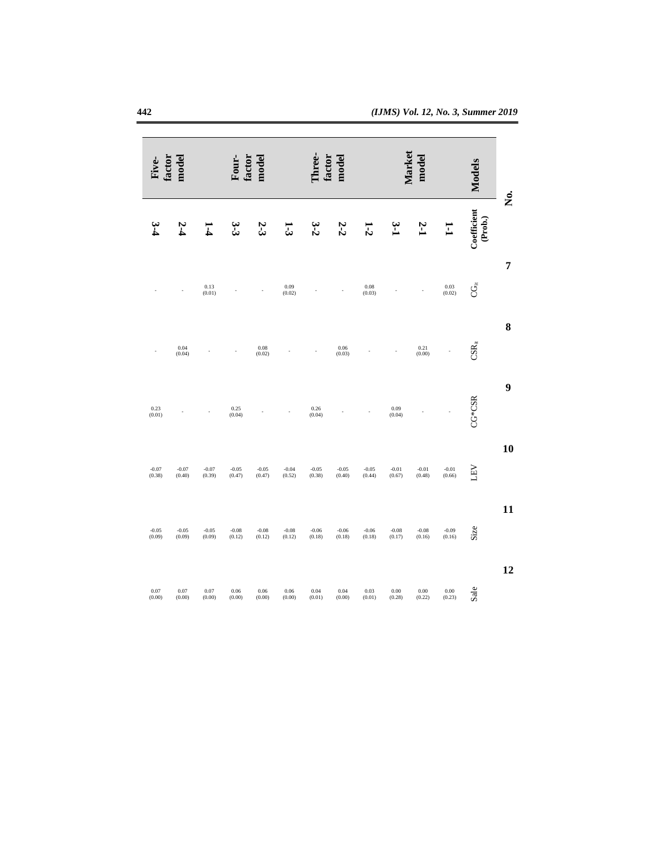| Ż. | <b>Models</b>                                                          | model               | Market                                      | hree<br>factor<br>model |                    |                    |                   | model<br>factor<br>Four- |                                             |                   | model<br>factor                             |                   |                   |
|----|------------------------------------------------------------------------|---------------------|---------------------------------------------|-------------------------|--------------------|--------------------|-------------------|--------------------------|---------------------------------------------|-------------------|---------------------------------------------|-------------------|-------------------|
|    | $\begin{array}{c} \textbf{Coefficient}\\ \textbf{(Prob.)} \end{array}$ | $\Xi$               | 2-1                                         | $\mathbf{\hat{r}}$      | $1-2$              | 2-2                | 3-2               | 13                       | 2-3                                         | ن<br>نا           | I<br>4                                      | 2-4               |                   |
| 7  |                                                                        |                     |                                             |                         |                    |                    |                   |                          |                                             |                   |                                             |                   |                   |
|    | Ğ                                                                      | $0.03$<br>$(0.02)$  |                                             |                         | $0.08$<br>$(0.03)$ |                    |                   | $0.09$<br>$(0.02)$       |                                             |                   | $\begin{array}{c} 0.13 \\ 0.01 \end{array}$ |                   |                   |
| 8  | $\mathbf{CSR}_{\mathrm{i}\mathrm{i}}$                                  |                     | $\begin{array}{c} 0.21 \\ 0.00 \end{array}$ |                         |                    | $0.06$<br>$(0.03)$ |                   |                          | $\begin{array}{c} 0.08 \\ 0.02 \end{array}$ |                   |                                             | 0.04<br>(0.04)    |                   |
| 9  |                                                                        |                     |                                             |                         |                    |                    |                   |                          |                                             |                   |                                             |                   |                   |
|    | $CG*CSR$                                                               |                     |                                             | 0.09<br>(0.04)          |                    |                    | 0.26<br>(0.04)    |                          |                                             | 0.25<br>(0.04)    |                                             |                   | 0.23<br>(0.01)    |
| 10 |                                                                        |                     |                                             |                         |                    |                    |                   |                          |                                             |                   |                                             |                   |                   |
|    | LEV                                                                    | $-0.01$<br>$(0.66)$ | $-0.01$<br>(0.48)                           | $-0.01$<br>(0.67)       | $-0.05$<br>(0.44)  | $-0.05$<br>(0.40)  | $-0.05$<br>(0.38) | $-0.04$<br>(0.52)        | $-0.05$<br>(0.47)                           | $-0.05$<br>(0.47) | $-0.07$<br>(0.39)                           | $-0.07$<br>(0.40) | $-0.07$<br>(0.38) |
| 11 |                                                                        |                     |                                             |                         |                    |                    |                   |                          |                                             |                   |                                             |                   |                   |
|    | Size                                                                   | $-0.09$<br>(0.16)   | $-0.08$<br>(0.16)                           | $-0.08$<br>(0.17)       | $-0.06$<br>(0.18)  | $-0.06$<br>(0.18)  | $-0.06$<br>(0.18) | $-0.08$<br>(0.12)        | $-0.08$<br>(0.12)                           | $-0.08$<br>(0.12) | $-0.05$<br>(0.09)                           | $-0.05$<br>(0.09) | $-0.05$<br>(0.09) |
| 12 |                                                                        |                     |                                             |                         |                    |                    |                   |                          |                                             |                   |                                             |                   |                   |
|    | Sale                                                                   | 0.00<br>(0.23)      | 0.00<br>(0.22)                              | 0.00<br>(0.28)          | 0.03<br>(0.01)     | 0.04<br>(0.00)     | 0.04<br>(0.01)    | 0.06<br>(0.00)           | 0.06<br>(0.00)                              | 0.06<br>(0.00)    | 0.07<br>(0.00)                              | 0.07<br>(0.00)    | 0.07<br>(0.00)    |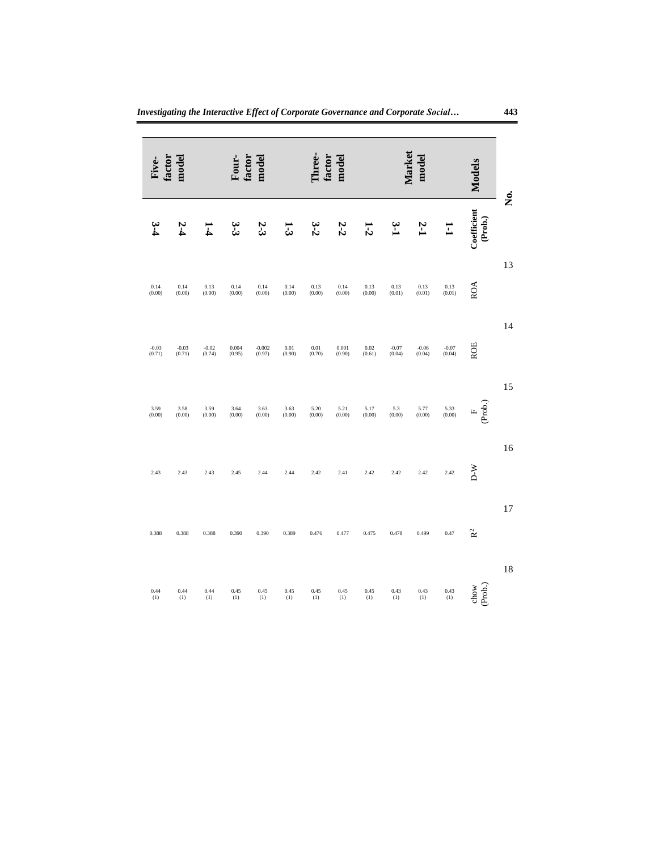| Ż. | <b>Models</b>                                                       | Market<br>model                               |                   |                                               |                                               |                  | hree.<br>mode<br>factor |                |                    | mode<br>Four-<br>iactor |                                               |                     | model<br>acto:    |  |  |
|----|---------------------------------------------------------------------|-----------------------------------------------|-------------------|-----------------------------------------------|-----------------------------------------------|------------------|-------------------------|----------------|--------------------|-------------------------|-----------------------------------------------|---------------------|-------------------|--|--|
|    | $\begin{array}{c} \text{Coefficient} \\ \text{(Prob.)} \end{array}$ | H                                             | Σ-J               | ب<br>ت                                        | 1-2                                           | 2-2              | 3-2                     | 7              | 2-3                | ىن<br>سا                |                                               | 2-1                 |                   |  |  |
| 13 | ROA                                                                 | $\begin{array}{c} 0.13 \\ (0.01) \end{array}$ | 0.13<br>(0.01)    | $\begin{array}{c} 0.13 \\ (0.01) \end{array}$ | $\begin{array}{c} 0.13 \\ (0.00) \end{array}$ | 0.14<br>(0.00)   | 0.13<br>(0.00)          | 0.14<br>(0.00) | 0.14<br>(0.00)     | 0.14<br>(0.00)          | $\begin{array}{c} 0.13 \\ (0.00) \end{array}$ | 0.14<br>(0.00)      | 0.14<br>(0.00)    |  |  |
| 14 | ROE                                                                 | $-0.07$<br>$(0.04)$                           | $-0.06$<br>(0.04) | $-0.07$<br>$(0.04)$                           | 0.02<br>(0.61)                                | 0.001<br>(0.90)  | 0.01<br>(0.70)          | 0.01<br>(0.90) | $-0.002$<br>(0.97) | 0.004<br>(0.95)         | $-0.02$<br>(0.74)                             | $-0.03$<br>$(0.71)$ | $-0.03$<br>(0.71) |  |  |
| 15 | $F$<br>(Prob.)                                                      | 5.33<br>(0.00)                                | 5.77<br>(0.00)    | $5.3$<br>(0.00)                               | 5.17<br>(0.00)                                | $5.21$<br>(0.00) | 5.20<br>(0.00)          | 3.63<br>(0.00) | 3.63<br>(0.00)     | 3.64<br>(0.00)          | $3.59$<br>$(0.00)$                            | 3.58<br>(0.00)      | 3.59<br>(0.00)    |  |  |
| 16 | $D-W$                                                               | 2.42                                          | 2.42              | 2.42                                          | 2.42                                          | 2.41             | 2.42                    | 2.44           | 2.44               | 2.45                    | 2.43                                          | 2.43                | 2.43              |  |  |
| 17 | R <sup>2</sup>                                                      | 0.47                                          | 0.499             | 0.478                                         | 0.475                                         | 0.477            | 0.476                   | 0.389          | 0.390              | 0.390                   | 0.388                                         | 0.388               | 0.388             |  |  |
| 18 | chow<br>(Prob.)                                                     | 0.43<br>(1)                                   | 0.43<br>(1)       | 0.43<br>(1)                                   | 0.45<br>(1)                                   | 0.45<br>(1)      | 0.45<br>(1)             | 0.45<br>(1)    | 0.45<br>(1)        | 0.45<br>(1)             | 0.44<br>(1)                                   | 0.44<br>(1)         | 0.44<br>(1)       |  |  |

*Investigating the Interactive Effect of Corporate Governance and Corporate Social…* **443**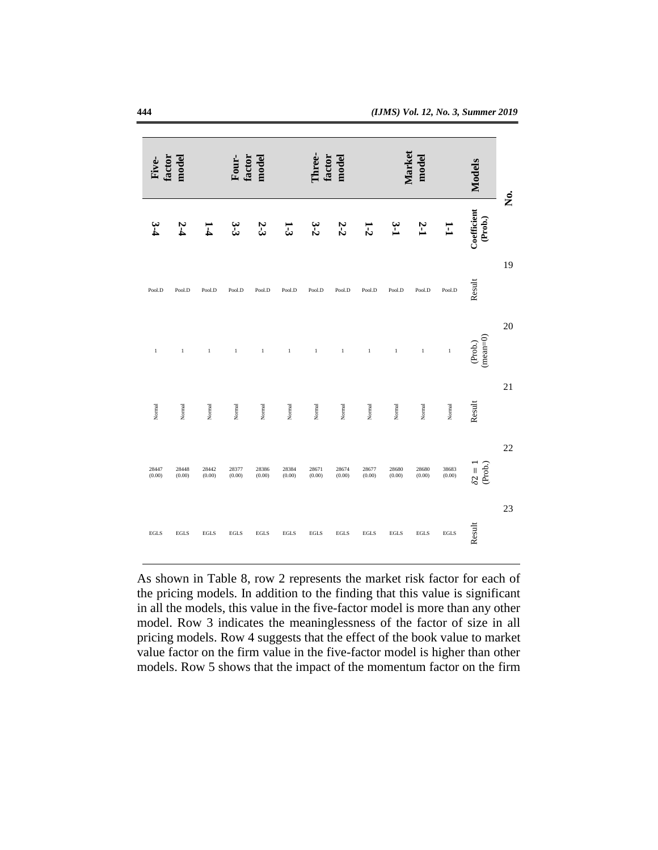| Ż. | <b>Models</b>             |                 | hree.<br>factor<br>model |                 |                 | mode<br>factor<br>Four- |                 |                 | model<br>factor |                 |                 |                 |                 |
|----|---------------------------|-----------------|--------------------------|-----------------|-----------------|-------------------------|-----------------|-----------------|-----------------|-----------------|-----------------|-----------------|-----------------|
|    | Coefficient<br>(Prob.)    | Ē               | 2-1                      | <u>بہ</u><br>∟  | $1-2$           | $2-2$                   | $3-2$           | 13              | 2-3             | ب<br>سا         | I<br>4          | 2-4             |                 |
| 19 | Result                    | Pool.D          | Pool.D                   | Pool.D          | Pool.D          | Pool.D                  | Pool.D          | Pool.D          | Pool.D          | Pool.D          | Pool.D          | Pool.D          | Pool.D          |
| 20 | $(mean=0)$<br>(Prob.)     | $\,1\,$         | $\,1$                    | $\,1\,$         | $\,1\,$         | $\,1$                   | $\,1$           | $\,1\,$         | $\,$ $\,$       | $\,1$           | $\,1\,$         | $\,1\,$         | $\,1\,$         |
| 21 | Result                    | Normal          | Normal                   | Normal          | Normal          | Normal                  | Normal          | $\rm Normal$    | Normal          | Normal          | Normal          | Normal          | Normal          |
| 22 | $\delta 2 = 1$<br>(Prob.) | 38683<br>(0.00) | 28680<br>(0.00)          | 28680<br>(0.00) | 28677<br>(0.00) | 28674<br>(0.00)         | 28671<br>(0.00) | 28384<br>(0.00) | 28386<br>(0.00) | 28377<br>(0.00) | 28442<br>(0.00) | 28448<br>(0.00) | 28447<br>(0.00) |
| 23 | Result                    | <b>EGLS</b>     | $_{\rm EGLS}$            | $_{\rm EGLS}$   | <b>EGLS</b>     | <b>EGLS</b>             | $_{\rm EGLS}$   | EGLS            | $_{\rm EGLS}$   | $_{\rm EGLS}$   | $_{\rm EGLS}$   | EGLS            | <b>EGLS</b>     |

As shown in Table 8, row 2 represents the market risk factor for each of the pricing models. In addition to the finding that this value is significant in all the models, this value in the five-factor model is more than any other model. Row 3 indicates the meaninglessness of the factor of size in all pricing models. Row 4 suggests that the effect of the book value to market value factor on the firm value in the five-factor model is higher than other models. Row 5 shows that the impact of the momentum factor on the firm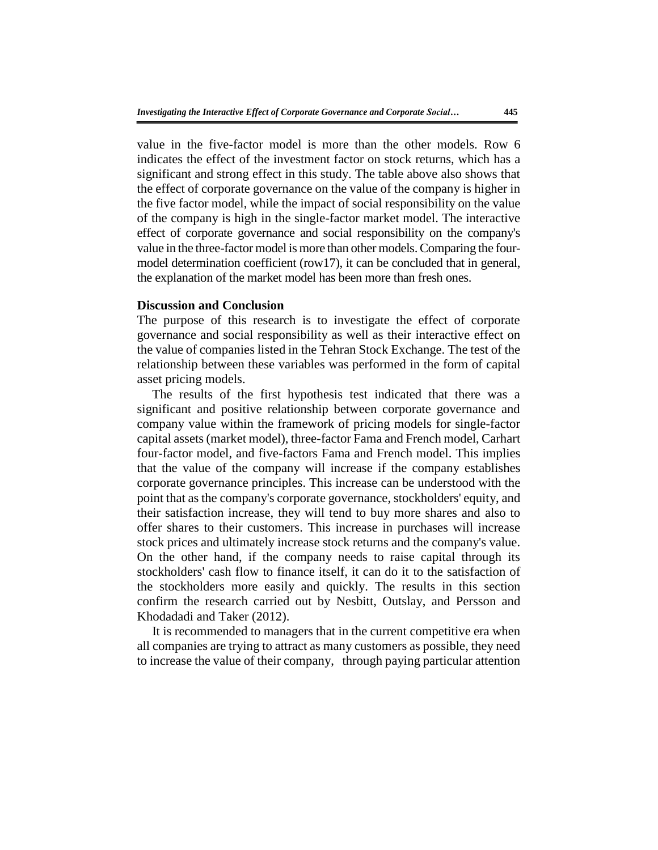value in the five-factor model is more than the other models. Row 6 indicates the effect of the investment factor on stock returns, which has a significant and strong effect in this study. The table above also shows that the effect of corporate governance on the value of the company is higher in the five factor model, while the impact of social responsibility on the value of the company is high in the single-factor market model. The interactive effect of corporate governance and social responsibility on the company's value in the three-factor model is more than other models. Comparing the fourmodel determination coefficient (row17), it can be concluded that in general, the explanation of the market model has been more than fresh ones.

## **Discussion and Conclusion**

The purpose of this research is to investigate the effect of corporate governance and social responsibility as well as their interactive effect on the value of companies listed in the Tehran Stock Exchange. The test of the relationship between these variables was performed in the form of capital asset pricing models.

The results of the first hypothesis test indicated that there was a significant and positive relationship between corporate governance and company value within the framework of pricing models for single-factor capital assets (market model), three-factor Fama and French model, Carhart four-factor model, and five-factors Fama and French model. This implies that the value of the company will increase if the company establishes corporate governance principles. This increase can be understood with the point that as the company's corporate governance, stockholders' equity, and their satisfaction increase, they will tend to buy more shares and also to offer shares to their customers. This increase in purchases will increase stock prices and ultimately increase stock returns and the company's value. On the other hand, if the company needs to raise capital through its stockholders' cash flow to finance itself, it can do it to the satisfaction of the stockholders more easily and quickly. The results in this section confirm the research carried out by Nesbitt, Outslay, and Persson and Khodadadi and Taker (2012).

It is recommended to managers that in the current competitive era when all companies are trying to attract as many customers as possible, they need to increase the value of their company, through paying particular attention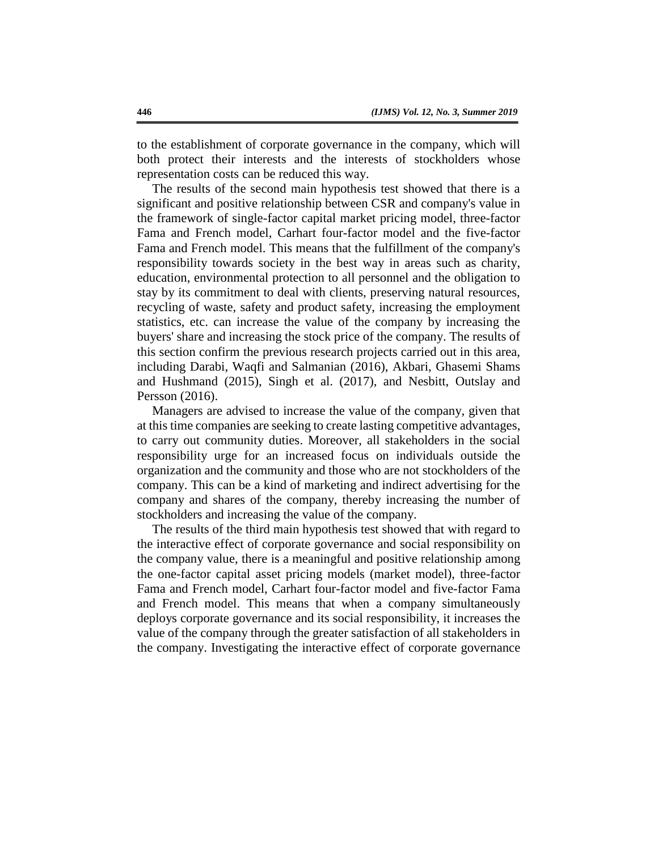to the establishment of corporate governance in the company, which will both protect their interests and the interests of stockholders whose representation costs can be reduced this way.

The results of the second main hypothesis test showed that there is a significant and positive relationship between CSR and company's value in the framework of single-factor capital market pricing model, three-factor Fama and French model, Carhart four-factor model and the five-factor Fama and French model. This means that the fulfillment of the company's responsibility towards society in the best way in areas such as charity, education, environmental protection to all personnel and the obligation to stay by its commitment to deal with clients, preserving natural resources, recycling of waste, safety and product safety, increasing the employment statistics, etc. can increase the value of the company by increasing the buyers' share and increasing the stock price of the company. The results of this section confirm the previous research projects carried out in this area, including Darabi, Waqfi and Salmanian (2016), Akbari, Ghasemi Shams and Hushmand (2015), Singh et al. (2017), and Nesbitt, Outslay and Persson (2016).

Managers are advised to increase the value of the company, given that at this time companies are seeking to create lasting competitive advantages, to carry out community duties. Moreover, all stakeholders in the social responsibility urge for an increased focus on individuals outside the organization and the community and those who are not stockholders of the company. This can be a kind of marketing and indirect advertising for the company and shares of the company, thereby increasing the number of stockholders and increasing the value of the company.

The results of the third main hypothesis test showed that with regard to the interactive effect of corporate governance and social responsibility on the company value, there is a meaningful and positive relationship among the one-factor capital asset pricing models (market model), three-factor Fama and French model, Carhart four-factor model and five-factor Fama and French model. This means that when a company simultaneously deploys corporate governance and its social responsibility, it increases the value of the company through the greater satisfaction of all stakeholders in the company. Investigating the interactive effect of corporate governance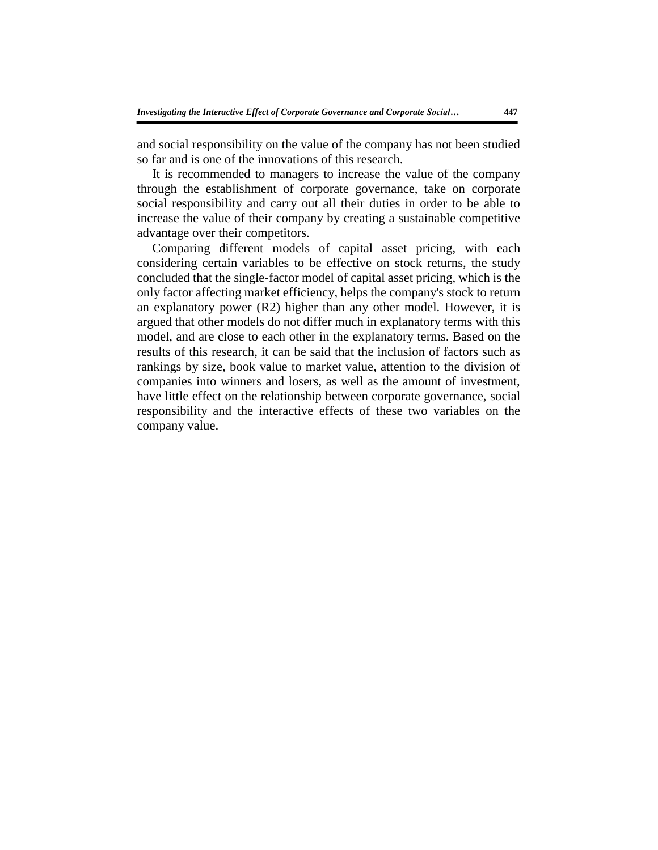and social responsibility on the value of the company has not been studied so far and is one of the innovations of this research.

It is recommended to managers to increase the value of the company through the establishment of corporate governance, take on corporate social responsibility and carry out all their duties in order to be able to increase the value of their company by creating a sustainable competitive advantage over their competitors.

Comparing different models of capital asset pricing, with each considering certain variables to be effective on stock returns, the study concluded that the single-factor model of capital asset pricing, which is the only factor affecting market efficiency, helps the company's stock to return an explanatory power (R2) higher than any other model. However, it is argued that other models do not differ much in explanatory terms with this model, and are close to each other in the explanatory terms. Based on the results of this research, it can be said that the inclusion of factors such as rankings by size, book value to market value, attention to the division of companies into winners and losers, as well as the amount of investment, have little effect on the relationship between corporate governance, social responsibility and the interactive effects of these two variables on the company value.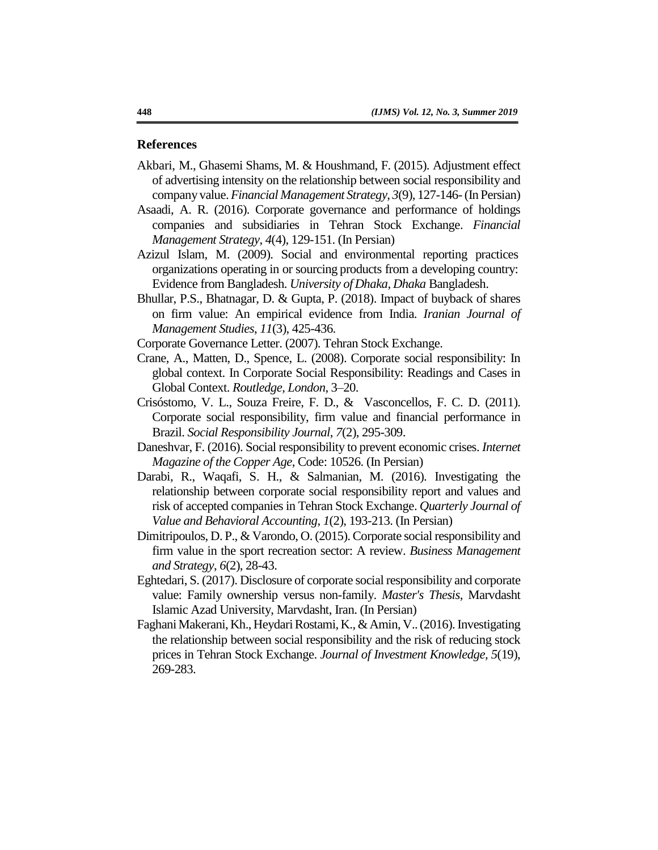#### **References**

- Akbari, M., Ghasemi Shams, M. & Houshmand, F. (2015). Adjustment effect of advertising intensity on the relationship between social responsibility and company value. *Financial Management Strategy*, *3*(9), 127-146-(In Persian)
- Asaadi, A. R. (2016). Corporate governance and performance of holdings companies and subsidiaries in Tehran Stock Exchange. *Financial Management Strategy*, *4*(4), 129-151. (In Persian)
- Azizul Islam, M. (2009). Social and environmental reporting practices organizations operating in or sourcing products from a developing country: Evidence from Bangladesh. *University of Dhaka, Dhaka* Bangladesh.
- Bhullar, P.S., Bhatnagar, D. & Gupta, P. (2018). Impact of buyback of shares on firm value: An empirical evidence from India. *Iranian Journal of Management Studies*, *11*(3), 425-436.
- Corporate Governance Letter. (2007). Tehran Stock Exchange.
- Crane, A., Matten, D., Spence, L. (2008). Corporate social responsibility: In global context. In Corporate Social Responsibility: Readings and Cases in Global Context. *Routledge, London*, 3–20.
- Crisóstomo, V. L., Souza Freire, F. D., & Vasconcellos, F. C. D. (2011). Corporate social responsibility, firm value and financial performance in Brazil. *Social Responsibility Journal*, *7*(2), 295-309.
- Daneshvar, F. (2016). Social responsibility to prevent economic crises. *Internet Magazine of the Copper Age*, Code: 10526. (In Persian)
- Darabi, R., Waqafi, S. H., & Salmanian, M. (2016). Investigating the relationship between corporate social responsibility report and values and risk of accepted companies in Tehran Stock Exchange. *Quarterly Journal of Value and Behavioral Accounting*, *1*(2), 193-213. (In Persian)
- Dimitripoulos, D. P., & Varondo, O. (2015). Corporate social responsibility and firm value in the sport recreation sector: A review. *Business Management and Strategy*, *6*(2), 28-43.
- Eghtedari, S. (2017). Disclosure of corporate social responsibility and corporate value: Family ownership versus non-family. *Master's Thesis*, Marvdasht Islamic Azad University, Marvdasht, Iran. (In Persian)
- Faghani Makerani, Kh., Heydari Rostami, K.,& Amin, V.. (2016). Investigating the relationship between social responsibility and the risk of reducing stock prices in Tehran Stock Exchange. *Journal of Investment Knowledge, 5*(19), 269-283.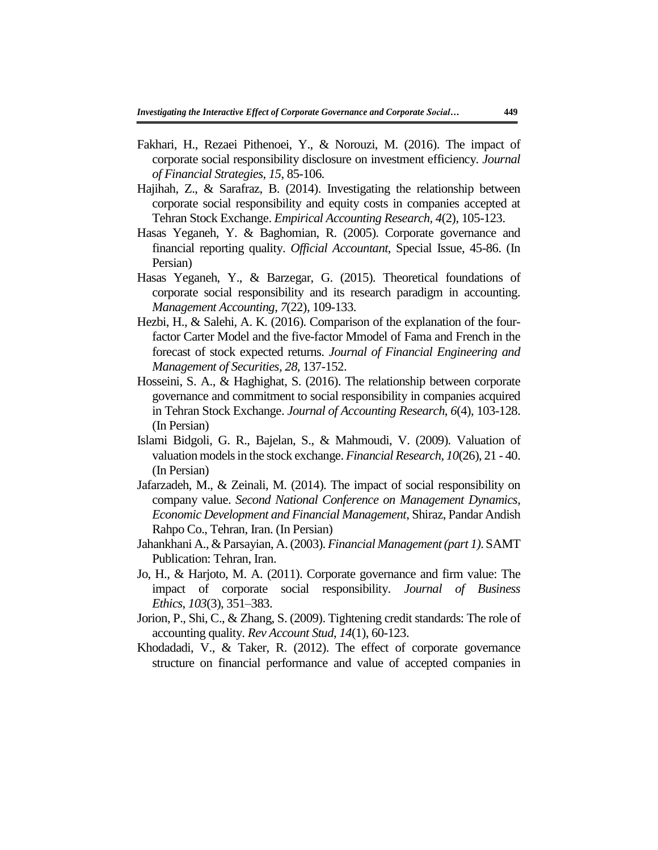- Fakhari, H., Rezaei Pithenoei, Y., & Norouzi, M. (2016). The impact of corporate social responsibility disclosure on investment efficiency. *Journal of Financial Strategies*, *15*, 85-106.
- Hajihah, Z., & Sarafraz, B. (2014). Investigating the relationship between corporate social responsibility and equity costs in companies accepted at Tehran Stock Exchange. *Empirical Accounting Research, 4*(2), 105-123.
- Hasas Yeganeh, Y. & Baghomian, R. (2005). Corporate governance and financial reporting quality. *Official Accountant*, Special Issue, 45-86. (In Persian)
- Hasas Yeganeh, Y., & Barzegar, G. (2015). Theoretical foundations of corporate social responsibility and its research paradigm in accounting. *Management Accounting*, *7*(22), 109-133.
- Hezbi, H., & Salehi, A. K. (2016). Comparison of the explanation of the fourfactor Carter Model and the five-factor Mmodel of Fama and French in the forecast of stock expected returns. *Journal of Financial Engineering and Management of Securities, 28*, 137-152.
- Hosseini, S. A., & Haghighat, S. (2016). The relationship between corporate governance and commitment to social responsibility in companies acquired in Tehran Stock Exchange. *Journal of Accounting Research*, *6*(4), 103-128. (In Persian)
- Islami Bidgoli, G. R., Bajelan, S., & Mahmoudi, V. (2009). Valuation of valuation models in the stock exchange. *Financial Research*, *10*(26), 21 - 40. (In Persian)
- Jafarzadeh, M., & Zeinali, M. (2014). The impact of social responsibility on company value. *Second National Conference on Management Dynamics, Economic Development and Financial Management*, Shiraz, Pandar Andish Rahpo Co., Tehran, Iran. (In Persian)
- Jahankhani A., & Parsayian, A. (2003). *Financial Management (part 1)*. SAMT Publication: Tehran, Iran.
- Jo, H., & Harjoto, M. A. (2011). Corporate governance and firm value: The impact of corporate social responsibility. *Journal of Business Ethics*, *103*(3), 351–383.
- Jorion, P., Shi, C., & Zhang, S. (2009). Tightening credit standards: The role of accounting quality. *Rev Account Stud*, *14*(1), 60-123.
- Khodadadi, V., & Taker, R. (2012). The effect of corporate governance structure on financial performance and value of accepted companies in